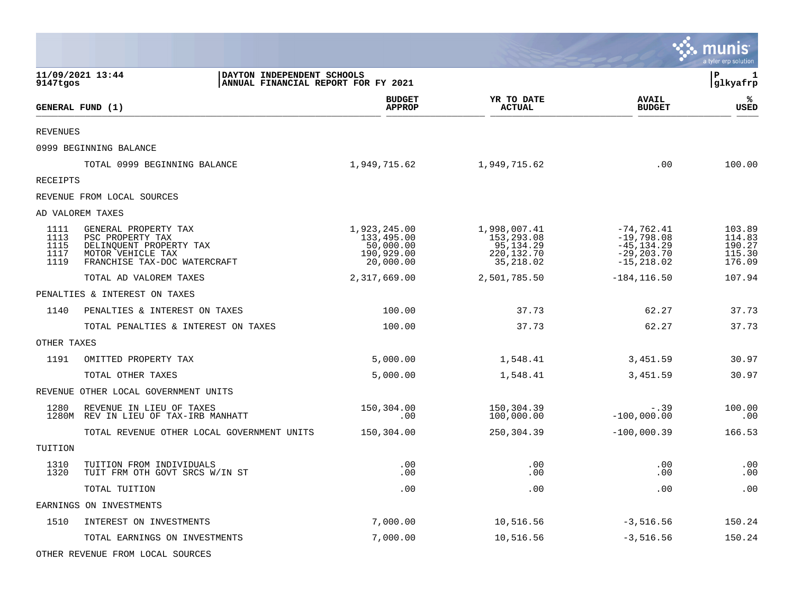|                                      |                                                                                                                          |                                                                    |                                                                    |                                                                                  | <b>munis</b><br>a tyler erp solution           |
|--------------------------------------|--------------------------------------------------------------------------------------------------------------------------|--------------------------------------------------------------------|--------------------------------------------------------------------|----------------------------------------------------------------------------------|------------------------------------------------|
| 9147tgos                             | 11/09/2021 13:44<br>DAYTON INDEPENDENT SCHOOLS<br>ANNUAL FINANCIAL REPORT FOR FY 2021                                    |                                                                    |                                                                    |                                                                                  | l P<br>1<br> glkyafrp                          |
|                                      | GENERAL FUND (1)                                                                                                         | <b>BUDGET</b><br><b>APPROP</b>                                     | YR TO DATE<br><b>ACTUAL</b>                                        | <b>AVAIL</b><br><b>BUDGET</b>                                                    | ℁<br><b>USED</b>                               |
| <b>REVENUES</b>                      |                                                                                                                          |                                                                    |                                                                    |                                                                                  |                                                |
|                                      | 0999 BEGINNING BALANCE                                                                                                   |                                                                    |                                                                    |                                                                                  |                                                |
|                                      | TOTAL 0999 BEGINNING BALANCE                                                                                             | 1,949,715.62                                                       | 1,949,715.62                                                       | .00                                                                              | 100.00                                         |
| <b>RECEIPTS</b>                      |                                                                                                                          |                                                                    |                                                                    |                                                                                  |                                                |
|                                      | REVENUE FROM LOCAL SOURCES                                                                                               |                                                                    |                                                                    |                                                                                  |                                                |
|                                      | AD VALOREM TAXES                                                                                                         |                                                                    |                                                                    |                                                                                  |                                                |
| 1111<br>1113<br>1115<br>1117<br>1119 | GENERAL PROPERTY TAX<br>PSC PROPERTY TAX<br>DELINQUENT PROPERTY TAX<br>MOTOR VEHICLE TAX<br>FRANCHISE TAX-DOC WATERCRAFT | 1,923,245.00<br>133,495.00<br>50,000.00<br>190,929.00<br>20,000.00 | 1,998,007.41<br>153,293.08<br>95,134.29<br>220,132.70<br>35,218.02 | $-74, 762.41$<br>$-19,798.08$<br>$-45, 134.29$<br>$-29, 203.70$<br>$-15, 218.02$ | 103.89<br>114.83<br>190.27<br>115.30<br>176.09 |
|                                      | TOTAL AD VALOREM TAXES                                                                                                   | 2,317,669.00                                                       | 2,501,785.50                                                       | $-184, 116.50$                                                                   | 107.94                                         |
|                                      | PENALTIES & INTEREST ON TAXES                                                                                            |                                                                    |                                                                    |                                                                                  |                                                |
| 1140                                 | PENALTIES & INTEREST ON TAXES                                                                                            | 100.00                                                             | 37.73                                                              | 62.27                                                                            | 37.73                                          |
|                                      | TOTAL PENALTIES & INTEREST ON TAXES                                                                                      | 100.00                                                             | 37.73                                                              | 62.27                                                                            | 37.73                                          |
| OTHER TAXES                          |                                                                                                                          |                                                                    |                                                                    |                                                                                  |                                                |
| 1191                                 | OMITTED PROPERTY TAX                                                                                                     | 5,000.00                                                           | 1,548.41                                                           | 3,451.59                                                                         | 30.97                                          |
|                                      | TOTAL OTHER TAXES                                                                                                        | 5,000.00                                                           | 1,548.41                                                           | 3,451.59                                                                         | 30.97                                          |
|                                      | REVENUE OTHER LOCAL GOVERNMENT UNITS                                                                                     |                                                                    |                                                                    |                                                                                  |                                                |
| 1280                                 | REVENUE IN LIEU OF TAXES<br>1280M REV IN LIEU OF TAX-IRB MANHATT                                                         | 150,304.00<br>.00                                                  | 150,304.39<br>100,000.00                                           | $-.39$<br>$-100,000.00$                                                          | 100.00<br>.00                                  |
|                                      | TOTAL REVENUE OTHER LOCAL GOVERNMENT UNITS                                                                               | 150,304.00                                                         | 250,304.39                                                         | $-100,000.39$                                                                    | 166.53                                         |
| TUITION                              |                                                                                                                          |                                                                    |                                                                    |                                                                                  |                                                |
| 1310<br>1320                         | TUITION FROM INDIVIDUALS<br>TUIT FRM OTH GOVT SRCS W/IN ST                                                               | .00<br>.00                                                         | .00<br>.00                                                         | .00<br>.00                                                                       | .00<br>.00                                     |
|                                      | TOTAL TUITION                                                                                                            | .00                                                                | .00                                                                | .00                                                                              | .00                                            |
|                                      | EARNINGS ON INVESTMENTS                                                                                                  |                                                                    |                                                                    |                                                                                  |                                                |
| 1510                                 | INTEREST ON INVESTMENTS                                                                                                  | 7,000.00                                                           | 10,516.56                                                          | $-3,516.56$                                                                      | 150.24                                         |
|                                      | TOTAL EARNINGS ON INVESTMENTS                                                                                            | 7,000.00                                                           | 10,516.56                                                          | $-3,516.56$                                                                      | 150.24                                         |
|                                      |                                                                                                                          |                                                                    |                                                                    |                                                                                  |                                                |

 $\bullet$ 

OTHER REVENUE FROM LOCAL SOURCES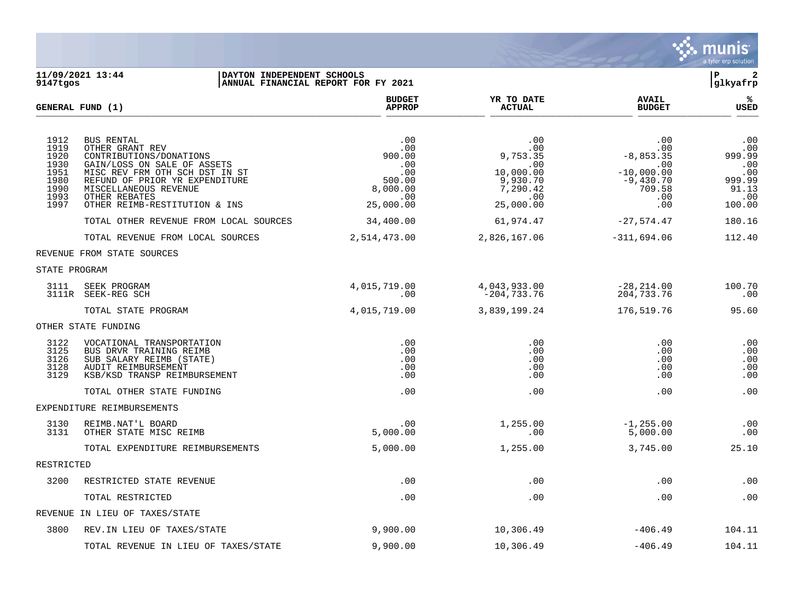

## **11/09/2021 13:44 |DAYTON INDEPENDENT SCHOOLS |P 2 9147tgos |ANNUAL FINANCIAL REPORT FOR FY 2021 |glkyafrp**

|                                                                      | GENERAL FUND (1)                                                                                                                                                                                                                              | <b>BUDGET</b><br><b>APPROP</b>                                               | YR TO DATE<br><b>ACTUAL</b>                                                            | <b>AVAIL</b><br><b>BUDGET</b>                                                           | %<br><b>USED</b>                                                       |
|----------------------------------------------------------------------|-----------------------------------------------------------------------------------------------------------------------------------------------------------------------------------------------------------------------------------------------|------------------------------------------------------------------------------|----------------------------------------------------------------------------------------|-----------------------------------------------------------------------------------------|------------------------------------------------------------------------|
| 1912<br>1919<br>1920<br>1930<br>1951<br>1980<br>1990<br>1993<br>1997 | <b>BUS RENTAL</b><br>OTHER GRANT REV<br>CONTRIBUTIONS/DONATIONS<br>GAIN/LOSS ON SALE OF ASSETS<br>MISC REV FRM OTH SCH DST IN ST<br>REFUND OF PRIOR YR EXPENDITURE<br>MISCELLANEOUS REVENUE<br>OTHER REBATES<br>OTHER REIMB-RESTITUTION & INS | .00<br>.00<br>900.00<br>.00<br>.00<br>500.00<br>8,000.00<br>.00<br>25,000.00 | .00<br>.00<br>9,753.35<br>.00<br>10,000.00<br>9,930.70<br>7,290.42<br>.00<br>25,000.00 | .00<br>.00<br>$-8,853.35$<br>.00<br>$-10,000.00$<br>$-9,430.70$<br>709.58<br>.00<br>.00 | .00<br>.00<br>999.99<br>.00<br>.00<br>999.99<br>91.13<br>.00<br>100.00 |
|                                                                      | TOTAL OTHER REVENUE FROM LOCAL SOURCES                                                                                                                                                                                                        | 34,400.00                                                                    | 61,974.47                                                                              | $-27,574.47$                                                                            | 180.16                                                                 |
|                                                                      | TOTAL REVENUE FROM LOCAL SOURCES                                                                                                                                                                                                              | 2,514,473.00                                                                 | 2,826,167.06                                                                           | $-311,694.06$                                                                           | 112.40                                                                 |
|                                                                      | REVENUE FROM STATE SOURCES                                                                                                                                                                                                                    |                                                                              |                                                                                        |                                                                                         |                                                                        |
| STATE PROGRAM                                                        |                                                                                                                                                                                                                                               |                                                                              |                                                                                        |                                                                                         |                                                                        |
| 3111                                                                 | SEEK PROGRAM<br>3111R SEEK-REG SCH                                                                                                                                                                                                            | 4,015,719.00<br>.00                                                          | 4,043,933.00<br>$-204, 733.76$                                                         | $-28, 214.00$<br>204,733.76                                                             | 100.70<br>.00                                                          |
|                                                                      | TOTAL STATE PROGRAM                                                                                                                                                                                                                           | 4,015,719.00                                                                 | 3,839,199.24                                                                           | 176,519.76                                                                              | 95.60                                                                  |
|                                                                      | OTHER STATE FUNDING                                                                                                                                                                                                                           |                                                                              |                                                                                        |                                                                                         |                                                                        |
| 3122<br>3125<br>3126<br>3128<br>3129                                 | VOCATIONAL TRANSPORTATION<br>BUS DRVR TRAINING REIMB<br>SUB SALARY REIMB (STATE)<br>AUDIT REIMBURSEMENT<br>KSB/KSD TRANSP REIMBURSEMENT                                                                                                       | .00<br>.00<br>.00<br>.00<br>.00                                              | .00<br>.00<br>.00<br>.00<br>.00                                                        | .00<br>.00<br>.00<br>.00<br>.00                                                         | .00<br>.00<br>.00<br>.00<br>.00                                        |
|                                                                      | TOTAL OTHER STATE FUNDING                                                                                                                                                                                                                     | .00                                                                          | .00                                                                                    | .00                                                                                     | .00                                                                    |
|                                                                      | EXPENDITURE REIMBURSEMENTS                                                                                                                                                                                                                    |                                                                              |                                                                                        |                                                                                         |                                                                        |
| 3130<br>3131                                                         | REIMB.NAT'L BOARD<br>OTHER STATE MISC REIMB                                                                                                                                                                                                   | .00<br>5,000.00                                                              | 1,255.00<br>.00                                                                        | $-1, 255.00$<br>5,000.00                                                                | .00<br>.00                                                             |
|                                                                      | TOTAL EXPENDITURE REIMBURSEMENTS                                                                                                                                                                                                              | 5,000.00                                                                     | 1,255.00                                                                               | 3,745.00                                                                                | 25.10                                                                  |
| RESTRICTED                                                           |                                                                                                                                                                                                                                               |                                                                              |                                                                                        |                                                                                         |                                                                        |
| 3200                                                                 | RESTRICTED STATE REVENUE                                                                                                                                                                                                                      | .00                                                                          | .00                                                                                    | .00                                                                                     | .00                                                                    |
|                                                                      | TOTAL RESTRICTED                                                                                                                                                                                                                              | .00                                                                          | .00                                                                                    | .00                                                                                     | .00                                                                    |
|                                                                      | REVENUE IN LIEU OF TAXES/STATE                                                                                                                                                                                                                |                                                                              |                                                                                        |                                                                                         |                                                                        |
| 3800                                                                 | REV. IN LIEU OF TAXES/STATE                                                                                                                                                                                                                   | 9,900.00                                                                     | 10,306.49                                                                              | $-406.49$                                                                               | 104.11                                                                 |
|                                                                      | TOTAL REVENUE IN LIEU OF TAXES/STATE                                                                                                                                                                                                          | 9,900.00                                                                     | 10,306.49                                                                              | $-406.49$                                                                               | 104.11                                                                 |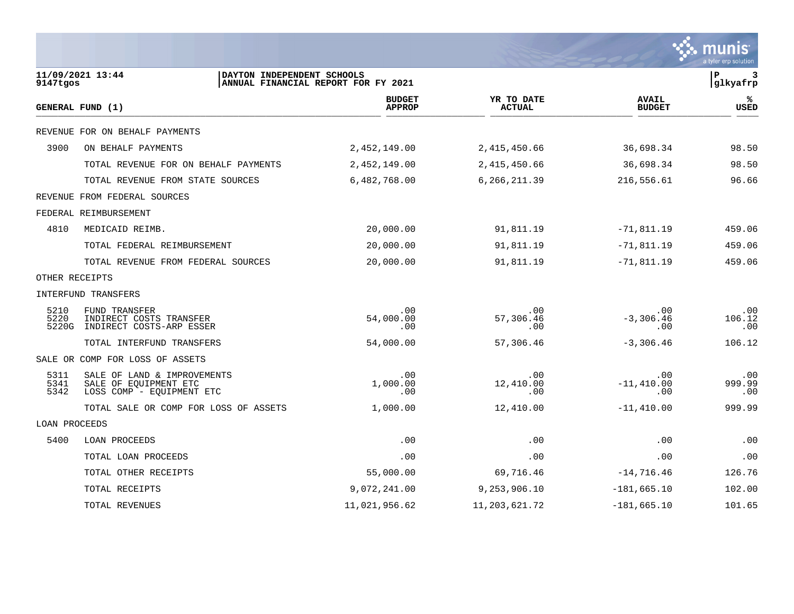|                      |                                                                                   |                                     |                             |                               | a tyler erp solution |
|----------------------|-----------------------------------------------------------------------------------|-------------------------------------|-----------------------------|-------------------------------|----------------------|
| 9147tgos             | 11/09/2021 13:44<br>DAYTON INDEPENDENT SCHOOLS                                    | ANNUAL FINANCIAL REPORT FOR FY 2021 |                             |                               | 3<br>P<br>glkyafrp   |
|                      | GENERAL FUND (1)                                                                  | <b>BUDGET</b><br><b>APPROP</b>      | YR TO DATE<br><b>ACTUAL</b> | <b>AVAIL</b><br><b>BUDGET</b> | ℁<br><b>USED</b>     |
|                      | REVENUE FOR ON BEHALF PAYMENTS                                                    |                                     |                             |                               |                      |
| 3900                 | ON BEHALF PAYMENTS                                                                | 2,452,149.00                        | 2,415,450.66                | 36,698.34                     | 98.50                |
|                      | TOTAL REVENUE FOR ON BEHALF PAYMENTS                                              | 2,452,149.00                        | 2,415,450.66                | 36,698.34                     | 98.50                |
|                      | TOTAL REVENUE FROM STATE SOURCES                                                  | 6,482,768.00                        | 6,266,211.39                | 216,556.61                    | 96.66                |
|                      | REVENUE FROM FEDERAL SOURCES                                                      |                                     |                             |                               |                      |
|                      | FEDERAL REIMBURSEMENT                                                             |                                     |                             |                               |                      |
| 4810                 | MEDICAID REIMB.                                                                   | 20,000.00                           | 91,811.19                   | $-71,811.19$                  | 459.06               |
|                      | TOTAL FEDERAL REIMBURSEMENT                                                       | 20,000.00                           | 91,811.19                   | $-71,811.19$                  | 459.06               |
|                      | TOTAL REVENUE FROM FEDERAL SOURCES                                                | 20,000.00                           | 91,811.19                   | $-71,811.19$                  | 459.06               |
| OTHER RECEIPTS       |                                                                                   |                                     |                             |                               |                      |
|                      | INTERFUND TRANSFERS                                                               |                                     |                             |                               |                      |
| 5210<br>5220         | <b>FUND TRANSFER</b><br>INDIRECT COSTS TRANSFER<br>5220G INDIRECT COSTS-ARP ESSER | .00<br>54,000.00<br>.00             | .00<br>57,306.46<br>.00     | .00<br>$-3,306.46$<br>.00     | .00<br>106.12<br>.00 |
|                      | TOTAL INTERFUND TRANSFERS                                                         | 54,000.00                           | 57,306.46                   | $-3,306.46$                   | 106.12               |
|                      | SALE OR COMP FOR LOSS OF ASSETS                                                   |                                     |                             |                               |                      |
| 5311<br>5341<br>5342 | SALE OF LAND & IMPROVEMENTS<br>SALE OF EQUIPMENT ETC<br>LOSS COMP - EQUIPMENT ETC | .00<br>1,000.00<br>.00              | .00<br>12,410.00<br>.00     | .00<br>$-11,410.00$<br>.00    | .00<br>999.99<br>.00 |
|                      | TOTAL SALE OR COMP FOR LOSS OF ASSETS                                             | 1,000.00                            | 12,410.00                   | $-11,410.00$                  | 999.99               |
| LOAN PROCEEDS        |                                                                                   |                                     |                             |                               |                      |
| 5400                 | LOAN PROCEEDS                                                                     | .00                                 | .00                         | .00                           | .00                  |
|                      | TOTAL LOAN PROCEEDS                                                               | .00                                 | .00                         | .00                           | .00                  |
|                      | TOTAL OTHER RECEIPTS                                                              | 55,000.00                           | 69,716.46                   | $-14,716.46$                  | 126.76               |
|                      | TOTAL RECEIPTS                                                                    | 9,072,241.00                        | 9, 253, 906.10              | $-181,665.10$                 | 102.00               |
|                      | TOTAL REVENUES                                                                    | 11,021,956.62                       | 11,203,621.72               | $-181,665.10$                 | 101.65               |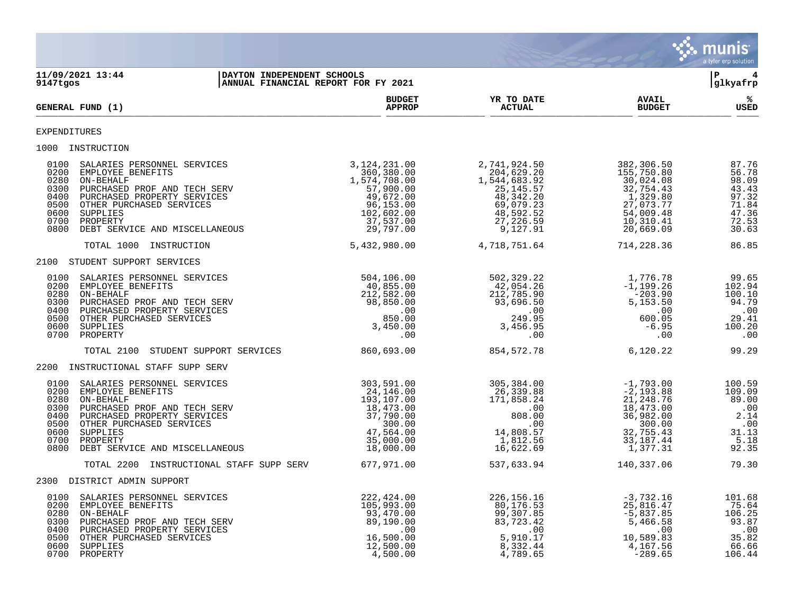

**11/09/2021 13:44 |DAYTON INDEPENDENT SCHOOLS |P 4 ANNUAL FINANCIAL REPORT FOR FY 2021 BUDGET YR TO DATE AVAIL % GENERAL FUND (1) APPROP ACTUAL BUDGET USED**  $\frac{A_{\text{H}^{\text{F}}\text{N}}}{A_{\text{H}}\text{N}}$   $\frac{A_{\text{H}}\text{N}}{A_{\text{H}}\text{N}}$   $\frac{A_{\text{H}}\text{N}}{A_{\text{H}}\text{N}}$   $\frac{A_{\text{H}}\text{N}}{A_{\text{H}}\text{N}}$   $\frac{B_{\text{H}}\text{N}}{B_{\text{H}}\text{N}}$ EXPENDITURES 1000 INSTRUCTION 0100 SALARIES PERSONNEL SERVICES 3,124,231.00 2,741,924.50 382,306.50 87.76 0200 EMPLOYEE BENEFITS 360,380.00 204,629.20 155,750.80 56.78 0280 ON-BEHALF 1,574,708.00 1,544,683.92 30,024.08 98.09 0300 PURCHASED PROF AND TECH SERV 67,900.00 57,900.00 25,145.57 32,754.43 43.43 0400 PURCHASED PROPERTY SERVICES 49,672.00 48,342.20 1,329.80 97.32 0500 OTHER PURCHASED SERVICES 96,153.00 69,079.23 27,073.77 71.84 0600 SUPPLIES 102,602.00 48,592.52 54,009.48 47.36 0700 PROPERTY 37,537.00 27,226.59 10,310.41 72.53 0800 DEBT SERVICE AND MISCELLANEOUS 29,797.00 9,127.91 20,669.09 30.63 TOTAL 1000 INSTRUCTION 5,432,980.00 4,718,751.64 714,228.36 86.85 2100 STUDENT SUPPORT SERVICES 0100 SALARIES PERSONNEL SERVICES 504,106.00 502,329.22 1,776.78 99.65 0200 EMPLOYEE BENEFITS 40,855.00 42,054.26 -1,199.26 102.94 0280 ON-BEHALF 212,582.00 212,785.90 -203.90 100.10 0300 PURCHASED PROF AND TECH SERV 98,850.00 93,696.50 5,153.50 94.79 0400 PURCHASED PROPERTY SERVICES .00 .00 .00 .00 0500 OTHER PURCHASED SERVICES 850.00 249.95 600.05 29.41 0600 SUPPLIES 3,450.00 3,456.95 -6.95 100.20 0700 PROPERTY .00 .00 .00 .00 TOTAL 2100 STUDENT SUPPORT SERVICES 860,693.00 854,572.78 6,120.22 99.29 2200 INSTRUCTIONAL STAFF SUPP SERV 0100 SALARIES PERSONNEL SERVICES 303,591.00 305,384.00 -1,793.00 100.59 0200 EMPLOYEE BENEFITS 24,146.00 26,339.88 -2,193.88 109.09 0280 ON-BEHALF 193,107.00 171,858.24 21,248.76 89.00 0300 PURCHASED PROF AND TECH SERV  $18,473.00$  .00  $18,473.00$  0400 PURCHASED PROPERTY SERVICES 37,790.00 808.00 36,982.00 2.14 0500 OTHER PURCHASED SERVICES 300.00 .00 300.00 .00 0600 SUPPLIES 47,564.00 14,808.57 32,755.43 31.13 0700 PROPERTY 35,000.00 1,812.56 33,187.44 5.18 0800 DEBT SERVICE AND MISCELLANEOUS 18,000.00 16,622.69 1,377.31 92.35 TOTAL 2200 INSTRUCTIONAL STAFF SUPP SERV 677,971.00 537,633.94 140,337.06 79.30 2300 DISTRICT ADMIN SUPPORT<br>0100 SALARIES PERSONNEL SERVICES<br>0200 EMPLOYEE BENEFITS<br>0280 ON-BEHALF<br>0300 PURCHASED PROF AND TECH SERV<br>0400 PURCHASED PROPERTY SERVICES<br>0500 OTHER PURCHASED SERVICES<br>0600 CTHER PURCHASED SERVI 0100 SALARIES PERSONNEL SERVICES 222,424.00 226,156.16 -3,732.16 101.68 0200 EMPLOYEE BENEFITS 105,993.00 80,176.53 25,816.47 75.64 0280 ON-BEHALF 93,470.00 99,307.85 -5,837.85 106.25 0300 PURCHASED PROF AND TECH SERV 89,190.00 83,723.42 5,466.58 93.87 0400 PURCHASED PROPERTY SERVICES .00 .00 .00 .00 0500 OTHER PURCHASED SERVICES 16,500.00 5,910.17 10,589.83 35.82 0600 SUPPLIES 12,500.00 8,332.44 4,167.56 66.66 0700 PROPERTY 4,500.00 4,789.65 -289.65 106.44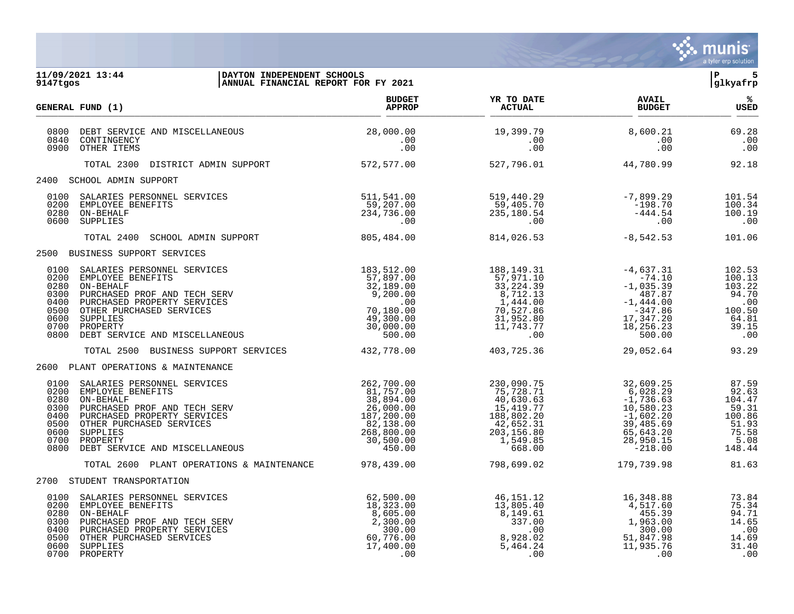

| 9147tgos                                                             | 11/09/2021 13:44<br>DAYTON INDEPENDENT SCHOOLS<br>ANNUAL FINANCIAL REPORT FOR FY 2021                                                                                                                                                                           |                                                                                                                                                       |                                                                                                                                                                        |                                                                                                                               | ∣P.<br>5<br>glkyafrp                                                                      |
|----------------------------------------------------------------------|-----------------------------------------------------------------------------------------------------------------------------------------------------------------------------------------------------------------------------------------------------------------|-------------------------------------------------------------------------------------------------------------------------------------------------------|------------------------------------------------------------------------------------------------------------------------------------------------------------------------|-------------------------------------------------------------------------------------------------------------------------------|-------------------------------------------------------------------------------------------|
|                                                                      | GENERAL FUND (1)                                                                                                                                                                                                                                                | <b>BUDGET</b><br>APPROP                                                                                                                               | <b>Example 21 YR TO DATE</b><br><b>ACTUAL</b>                                                                                                                          | <b>AVAIL</b><br><b>BUDGET</b>                                                                                                 | ్య<br>USED                                                                                |
| 0800<br>0840<br>0900                                                 | DEBT SERVICE AND MISCELLANEOUS<br>CONTINGENCY<br>OTHER ITEMS                                                                                                                                                                                                    | 28,000.00<br>.00<br>.00                                                                                                                               | 19,399.79<br>.00<br>.00                                                                                                                                                | 8,600.21<br>.00<br>.00                                                                                                        | 69.28<br>.00<br>.00                                                                       |
|                                                                      | TOTAL 2300 DISTRICT ADMIN SUPPORT                                                                                                                                                                                                                               | 572,577.00                                                                                                                                            | 527,796.01                                                                                                                                                             | 44,780.99                                                                                                                     | 92.18                                                                                     |
|                                                                      | 2400 SCHOOL ADMIN SUPPORT                                                                                                                                                                                                                                       |                                                                                                                                                       |                                                                                                                                                                        |                                                                                                                               |                                                                                           |
| 0100<br>0200<br>0280<br>0600                                         | SALARIES PERSONNEL SERVICES<br>EMPLOYEE BENEFITS<br>ON-BEHALF<br>SUPPLIES                                                                                                                                                                                       | 511,541.00<br>59,207.00<br>234,736.00<br>.00                                                                                                          | 519,440.29<br>59,405.70<br>235,180.54<br>.00                                                                                                                           | $-7,899.29$<br>$-198.70$<br>$-444.54$<br>.00                                                                                  | 101.54<br>100.34<br>100.19<br>.00                                                         |
|                                                                      | TOTAL 2400 SCHOOL ADMIN SUPPORT                                                                                                                                                                                                                                 | 805,484.00                                                                                                                                            | 814,026.53                                                                                                                                                             | $-8,542.53$                                                                                                                   | 101.06                                                                                    |
|                                                                      | 2500 BUSINESS SUPPORT SERVICES                                                                                                                                                                                                                                  |                                                                                                                                                       |                                                                                                                                                                        |                                                                                                                               |                                                                                           |
| 0100<br>0200<br>0280<br>0300<br>0400<br>0500<br>0600<br>0700         | SALARIES PERSONNEL SERVICES<br>EMPLOYEE BENEFITS<br>ON-BEHALF<br>PURCHASED PROF AND TECH SERV<br>PURCHASED PROPERTY SERVICES<br>OTHER PURCHASED SERVICES<br>SUPPLIES<br>PROPERTY<br>0800 DEBT SERVICE AND MISCELLANEOUS<br>TOTAL 2500 BUSINESS SUPPORT SERVICES | 183,512.00<br>$\begin{array}{r} 183, 312.00 \\ 57, 897.00 \\ 32, 189.00 \\ 9, 200.00 \\ 49, 300.00 \\ 30, 000.00 \\ 500.00 \end{array}$<br>432,778.00 | 188,149.31<br>188, 149.31<br>57, 971.10<br>33, 224.39<br>8, 712.13<br>7, 444.00<br>70, 527.86<br>31, 952.80<br>11, 743.77<br>00<br>57,971.10<br>8,712.13<br>403,725.36 | $-4,637.31$<br>$-74.10$<br>$-1,035.39$<br>487.87<br>$-1,444.00$<br>$-347.86$<br>17,347.20<br>18,256.23<br>500.00<br>29,052.64 | 102.53<br>100.13<br>103.22<br>94.70<br>.00<br>100.50<br>64.81<br>39.15<br>.00<br>93.29    |
|                                                                      | 2600 PLANT OPERATIONS & MAINTENANCE                                                                                                                                                                                                                             |                                                                                                                                                       |                                                                                                                                                                        |                                                                                                                               |                                                                                           |
| 0100<br>0200<br>0280<br>0300<br>0400<br>0500<br>0600<br>0700<br>0800 | SALARIES PERSONNEL SERVICES<br>EMPLOYEE BENEFITS<br>ON-BEHALF<br>PURCHASED PROF AND TECH SERV<br>PURCHASED PROPERTY SERVICES<br>PROPERTY<br>DEBT SERVICE AND MISCELLANEOUS                                                                                      | 262,700.00<br>$81,757.00$<br>38,894.00<br>$26,000.00$<br>$187,200.00$<br>$82,138.00$<br>$268,800.00$<br>$30,500.00$<br>$450.00$                       | 230,090.75<br>75,728.71<br>40,630.63<br>15,419.77<br>188,802.20<br>42,652.31<br>203,156.80<br>1,549.85<br>668.00                                                       | 32,609.25<br>6,028.29<br>$-1,736.63$<br>10,580.23<br>$-1,602.20$<br>39,485.69<br>65,643.20<br>28,950.15<br>$-218.00$          | 87.59<br>92.63<br>104.47<br>59.31<br>100.86<br>51.93<br>75.58<br>5.08<br>148.44           |
|                                                                      | TOTAL 2600 PLANT OPERATIONS & MAINTENANCE                                                                                                                                                                                                                       | 978,439.00                                                                                                                                            | 798,699.02                                                                                                                                                             | 179,739.98                                                                                                                    | 81.63                                                                                     |
|                                                                      | 2700 STUDENT TRANSPORTATION                                                                                                                                                                                                                                     |                                                                                                                                                       |                                                                                                                                                                        |                                                                                                                               |                                                                                           |
| 0100<br>0200<br>0280<br>0300<br>0400<br>0500<br>0600<br>0700         | SALARIES PERSONNEL SERVICES<br>EMPLOYEE BENEFITS<br>ON-BEHALF<br>PURCHASED PROF AND TECH SERV<br>PURCHASED PROPERTY SERVICES<br>OTHER PURCHASED SERVICES<br>SUPPLIES<br>PROPERTY                                                                                | 62,500.00<br>$10,323.00$<br>$2,300.00$<br>$300.00$<br>$60,776.00$<br>$17,400.00$<br>$0$                                                               | 46,151.12<br>13,805.40<br>8,149.61<br>337.00<br>.00<br>8,928.02<br>5,464.24<br>.00                                                                                     | 16,348.88<br>4,517.60<br>455.39<br>1,963.00<br>300.00<br>51,847.98<br>11,935.76<br>.00                                        | 73.84<br>75.34<br>94.71<br>14.65<br>$\overline{\phantom{0}}$ .00<br>14.69<br>31.40<br>.00 |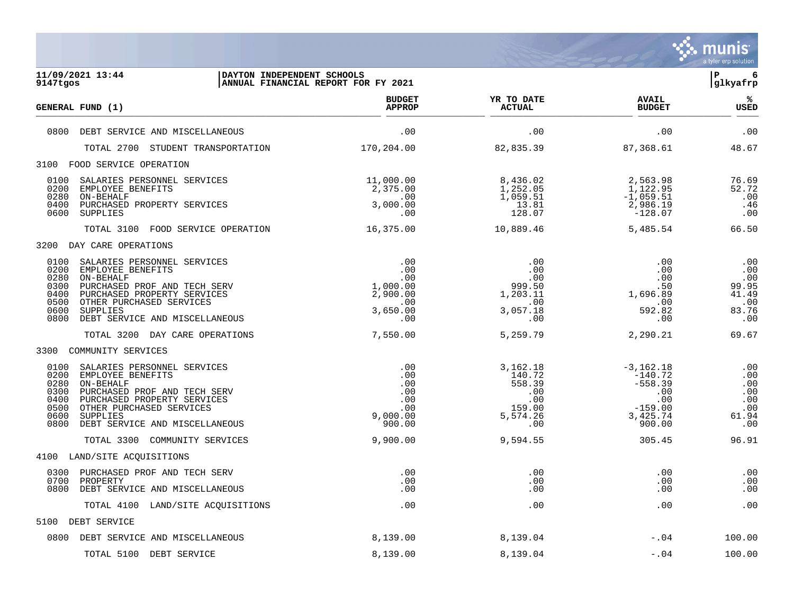

| 11/09/2021 13:44<br>DAYTON INDEPENDENT SCHOOLS<br>9147tgos                                                                                                                                                                                                             | ANNUAL FINANCIAL REPORT FOR FY 2021                                     |                                                                         |                                                                                        | ∣P<br>6<br>glkyafrp                                        |
|------------------------------------------------------------------------------------------------------------------------------------------------------------------------------------------------------------------------------------------------------------------------|-------------------------------------------------------------------------|-------------------------------------------------------------------------|----------------------------------------------------------------------------------------|------------------------------------------------------------|
| GENERAL FUND (1)                                                                                                                                                                                                                                                       | <b>BUDGET</b><br><b>APPROP</b>                                          | YR TO DATE<br><b>ACTUAL</b>                                             | <b>AVAIL</b><br><b>BUDGET</b>                                                          | %ะ<br><b>USED</b>                                          |
| 0800 DEBT SERVICE AND MISCELLANEOUS                                                                                                                                                                                                                                    | .00                                                                     | .00                                                                     | .00                                                                                    | .00                                                        |
| TOTAL 2700 STUDENT TRANSPORTATION                                                                                                                                                                                                                                      | 170,204.00                                                              | 82,835.39                                                               | 87,368.61                                                                              | 48.67                                                      |
| 3100 FOOD SERVICE OPERATION                                                                                                                                                                                                                                            |                                                                         |                                                                         |                                                                                        |                                                            |
| 0100<br>SALARIES PERSONNEL SERVICES<br>0200<br>EMPLOYEE BENEFITS<br>0280<br>ON-BEHALF<br>0400 PURCHASED PROPERTY SERVICES<br>0600<br>SUPPLIES                                                                                                                          | 11,000.00<br>2,375.00<br>$.00\,$<br>3,000.00<br>.00                     | 8,436.02<br>1,252.05<br>1,059.51<br>13.81<br>128.07                     | 2,563.98<br>1,122.95<br>$-1,059.51$<br>2,986.19<br>$-128.07$                           | 76.69<br>52.72<br>.00<br>.46<br>.00                        |
| TOTAL 3100 FOOD SERVICE OPERATION                                                                                                                                                                                                                                      | 16,375.00                                                               | 10,889.46                                                               | 5,485.54                                                                               | 66.50                                                      |
| 3200 DAY CARE OPERATIONS                                                                                                                                                                                                                                               |                                                                         |                                                                         |                                                                                        |                                                            |
| SALARIES PERSONNEL SERVICES<br>0100<br>0200<br>EMPLOYEE BENEFITS<br>0280<br>ON-BEHALF<br>0300<br>PURCHASED PROF AND TECH SERV<br>0400<br>PURCHASED PROPERTY SERVICES<br>0500<br>OTHER PURCHASED SERVICES<br>0600<br>SUPPLIES<br>DEBT SERVICE AND MISCELLANEOUS<br>0800 | .00<br>.00<br>.00<br>1,000.00<br>2,900.00<br>$.00\,$<br>3,650.00<br>.00 | .00<br>.00<br>.00<br>999.50<br>1,203.11<br>.00<br>3,057.18<br>.00       | .00<br>.00<br>.00<br>.50<br>1,696.89<br>.00<br>592.82<br>.00                           | .00<br>.00<br>.00<br>99.95<br>41.49<br>.00<br>83.76<br>.00 |
| TOTAL 3200 DAY CARE OPERATIONS                                                                                                                                                                                                                                         | 7,550.00                                                                | 5,259.79                                                                | 2,290.21                                                                               | 69.67                                                      |
| 3300 COMMUNITY SERVICES                                                                                                                                                                                                                                                |                                                                         |                                                                         |                                                                                        |                                                            |
| 0100<br>SALARIES PERSONNEL SERVICES<br>0200<br>EMPLOYEE BENEFITS<br>0280<br>ON-BEHALF<br>0300<br>PURCHASED PROF AND TECH SERV<br>0400<br>PURCHASED PROPERTY SERVICES<br>0500<br>OTHER PURCHASED SERVICES<br>0600<br>SUPPLIES<br>0800 DEBT SERVICE AND MISCELLANEOUS    | .00<br>.00<br>.00<br>.00<br>.00<br>.00<br>9,000.00<br>900.00            | 3,162.18<br>140.72<br>558.39<br>.00<br>.00<br>159.00<br>5,574.26<br>.00 | $-3,162.18$<br>$-140.72$<br>$-558.39$<br>.00<br>.00<br>$-159.00$<br>3,425.74<br>900.00 | .00<br>.00<br>.00<br>.00<br>.00<br>.00<br>61.94<br>.00     |
| TOTAL 3300 COMMUNITY SERVICES                                                                                                                                                                                                                                          | 9,900.00                                                                | 9,594.55                                                                | 305.45                                                                                 | 96.91                                                      |
| 4100 LAND/SITE ACQUISITIONS                                                                                                                                                                                                                                            |                                                                         |                                                                         |                                                                                        |                                                            |
| PURCHASED PROF AND TECH SERV<br>0300<br>0700<br>PROPERTY<br>0800<br>DEBT SERVICE AND MISCELLANEOUS                                                                                                                                                                     | .00<br>.00<br>.00                                                       | .00<br>.00<br>.00                                                       | .00<br>.00<br>.00                                                                      | .00<br>.00<br>.00                                          |
| TOTAL 4100 LAND/SITE ACQUISITIONS                                                                                                                                                                                                                                      | .00                                                                     | .00                                                                     | .00                                                                                    | .00                                                        |
| 5100 DEBT SERVICE                                                                                                                                                                                                                                                      |                                                                         |                                                                         |                                                                                        |                                                            |
| 0800 DEBT SERVICE AND MISCELLANEOUS                                                                                                                                                                                                                                    | 8,139.00                                                                | 8,139.04                                                                | $-.04$                                                                                 | 100.00                                                     |
| TOTAL 5100 DEBT SERVICE                                                                                                                                                                                                                                                | 8,139.00                                                                | 8,139.04                                                                | $-0.04$                                                                                | 100.00                                                     |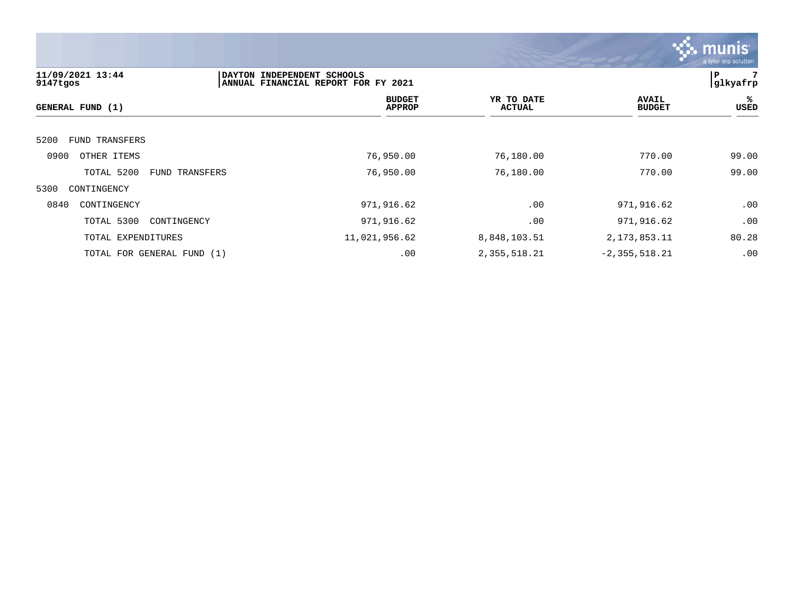

| 11/09/2021 13:44              | DAYTON INDEPENDENT SCHOOLS |                                     |                             |                               | . <u>.</u><br>l P<br>7 |
|-------------------------------|----------------------------|-------------------------------------|-----------------------------|-------------------------------|------------------------|
| 9147tgos                      |                            | ANNUAL FINANCIAL REPORT FOR FY 2021 |                             |                               | glkyafrp               |
| GENERAL FUND (1)              |                            | <b>BUDGET</b><br><b>APPROP</b>      | YR TO DATE<br><b>ACTUAL</b> | <b>AVAIL</b><br><b>BUDGET</b> | ℁<br>USED              |
| 5200<br><b>FUND TRANSFERS</b> |                            |                                     |                             |                               |                        |
| 0900<br>OTHER ITEMS           |                            | 76,950.00                           | 76,180.00                   | 770.00                        | 99.00                  |
| TOTAL 5200                    | FUND TRANSFERS             | 76,950.00                           | 76,180.00                   | 770.00                        | 99.00                  |
| 5300<br>CONTINGENCY           |                            |                                     |                             |                               |                        |
| 0840<br>CONTINGENCY           |                            | 971,916.62                          | .00                         | 971,916.62                    | .00                    |
| TOTAL 5300<br>CONTINGENCY     |                            | 971,916.62                          | .00                         | 971,916.62                    | .00                    |
| TOTAL EXPENDITURES            |                            | 11,021,956.62                       | 8,848,103.51                | 2, 173, 853. 11               | 80.28                  |
| TOTAL FOR GENERAL FUND (1)    |                            | .00                                 | 2,355,518.21                | $-2, 355, 518.21$             | .00                    |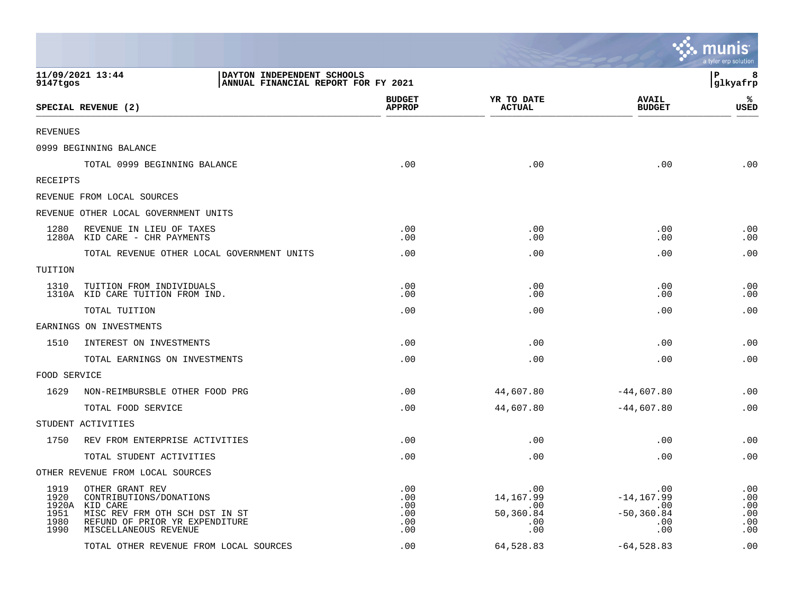|                                      |                                                                                                                                  |                                        |                                              |                                                            | ः munis<br>a tyler erp solution        |
|--------------------------------------|----------------------------------------------------------------------------------------------------------------------------------|----------------------------------------|----------------------------------------------|------------------------------------------------------------|----------------------------------------|
| 11/09/2021 13:44<br>9147tgos         | DAYTON INDEPENDENT SCHOOLS<br>ANNUAL FINANCIAL REPORT FOR FY 2021                                                                |                                        |                                              |                                                            | l P<br>8<br> glkyafrp                  |
|                                      | SPECIAL REVENUE (2)                                                                                                              | <b>BUDGET</b><br><b>APPROP</b>         | YR TO DATE<br><b>ACTUAL</b>                  | <b>AVAIL</b><br><b>BUDGET</b>                              | %ะ<br><b>USED</b>                      |
| <b>REVENUES</b>                      |                                                                                                                                  |                                        |                                              |                                                            |                                        |
|                                      | 0999 BEGINNING BALANCE                                                                                                           |                                        |                                              |                                                            |                                        |
|                                      | TOTAL 0999 BEGINNING BALANCE                                                                                                     | .00                                    | .00                                          | .00                                                        | .00                                    |
| <b>RECEIPTS</b>                      |                                                                                                                                  |                                        |                                              |                                                            |                                        |
|                                      | REVENUE FROM LOCAL SOURCES                                                                                                       |                                        |                                              |                                                            |                                        |
|                                      | REVENUE OTHER LOCAL GOVERNMENT UNITS                                                                                             |                                        |                                              |                                                            |                                        |
| 1280                                 | REVENUE IN LIEU OF TAXES<br>1280A KID CARE - CHR PAYMENTS                                                                        | .00<br>.00                             | .00<br>.00                                   | .00<br>.00                                                 | .00<br>.00                             |
|                                      | TOTAL REVENUE OTHER LOCAL GOVERNMENT UNITS                                                                                       | .00                                    | .00                                          | .00                                                        | .00                                    |
| TUITION                              |                                                                                                                                  |                                        |                                              |                                                            |                                        |
| 1310                                 | TUITION FROM INDIVIDUALS<br>1310A KID CARE TUITION FROM IND.                                                                     | .00<br>.00                             | .00<br>.00                                   | .00<br>.00                                                 | .00<br>.00                             |
|                                      | TOTAL TUITION                                                                                                                    | .00                                    | .00                                          | .00                                                        | .00                                    |
|                                      | EARNINGS ON INVESTMENTS                                                                                                          |                                        |                                              |                                                            |                                        |
| 1510                                 | INTEREST ON INVESTMENTS                                                                                                          | .00                                    | .00                                          | .00                                                        | .00                                    |
|                                      | TOTAL EARNINGS ON INVESTMENTS                                                                                                    | .00                                    | .00                                          | .00                                                        | .00                                    |
| FOOD SERVICE                         |                                                                                                                                  |                                        |                                              |                                                            |                                        |
| 1629                                 | NON-REIMBURSBLE OTHER FOOD PRG                                                                                                   | .00                                    | 44,607.80                                    | $-44,607.80$                                               | .00                                    |
|                                      | TOTAL FOOD SERVICE                                                                                                               | .00                                    | 44,607.80                                    | $-44,607.80$                                               | .00                                    |
|                                      | STUDENT ACTIVITIES                                                                                                               |                                        |                                              |                                                            |                                        |
| 1750                                 | REV FROM ENTERPRISE ACTIVITIES                                                                                                   | .00                                    | .00                                          | .00                                                        | .00                                    |
|                                      | TOTAL STUDENT ACTIVITIES                                                                                                         | .00                                    | .00                                          | .00                                                        | .00                                    |
|                                      | OTHER REVENUE FROM LOCAL SOURCES                                                                                                 |                                        |                                              |                                                            |                                        |
| 1919<br>1920<br>1951<br>1980<br>1990 | OTHER GRANT REV<br>CONTRIBUTIONS/DONATIONS<br>1920A KID CARE<br>MISC REV FRM OTH SCH DST IN ST<br>REFUND OF PRIOR YR EXPENDITURE | .00<br>.00<br>.00<br>.00<br>.00<br>.00 | .00<br>14, 167.99<br>.00<br>50,360.84<br>.00 | .00<br>$-14, 167.99$<br>.00<br>$-50, 360.84$<br>.00<br>.00 | .00<br>.00<br>.00<br>.00<br>.00<br>.00 |
|                                      | MISCELLANEOUS REVENUE<br>TOTAL OTHER REVENUE FROM LOCAL SOURCES                                                                  | .00                                    | .00<br>64,528.83                             | $-64,528.83$                                               | .00                                    |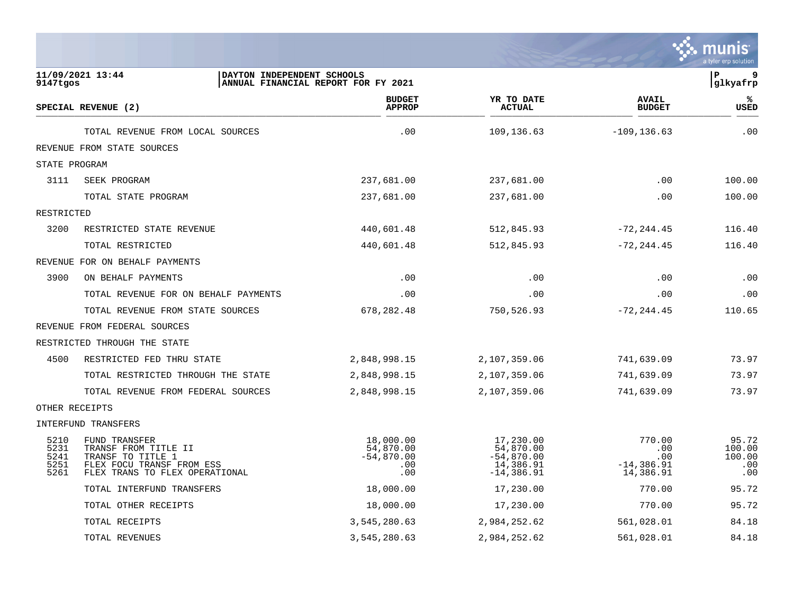

| 9147tgos                             | 11/09/2021 13:44                                                                                                          | DAYTON INDEPENDENT SCHOOLS<br>ANNUAL FINANCIAL REPORT FOR FY 2021 |                                                      |                                                                      |                                                    | 9<br>ΙP<br>glkyafrp                     |
|--------------------------------------|---------------------------------------------------------------------------------------------------------------------------|-------------------------------------------------------------------|------------------------------------------------------|----------------------------------------------------------------------|----------------------------------------------------|-----------------------------------------|
|                                      | SPECIAL REVENUE (2)                                                                                                       |                                                                   | <b>BUDGET</b><br><b>APPROP</b>                       | YR TO DATE<br><b>ACTUAL</b>                                          | <b>AVAIL</b><br><b>BUDGET</b>                      | ℁<br><b>USED</b>                        |
|                                      | TOTAL REVENUE FROM LOCAL SOURCES                                                                                          |                                                                   | .00                                                  | 109,136.63                                                           | $-109, 136.63$                                     | .00                                     |
|                                      | REVENUE FROM STATE SOURCES                                                                                                |                                                                   |                                                      |                                                                      |                                                    |                                         |
| STATE PROGRAM                        |                                                                                                                           |                                                                   |                                                      |                                                                      |                                                    |                                         |
| 3111                                 | SEEK PROGRAM                                                                                                              |                                                                   | 237,681.00                                           | 237,681.00                                                           | .00                                                | 100.00                                  |
|                                      | TOTAL STATE PROGRAM                                                                                                       |                                                                   | 237,681.00                                           | 237,681.00                                                           | .00                                                | 100.00                                  |
| RESTRICTED                           |                                                                                                                           |                                                                   |                                                      |                                                                      |                                                    |                                         |
| 3200                                 | RESTRICTED STATE REVENUE                                                                                                  |                                                                   | 440,601.48                                           | 512,845.93                                                           | $-72, 244.45$                                      | 116.40                                  |
|                                      | TOTAL RESTRICTED                                                                                                          |                                                                   | 440,601.48                                           | 512,845.93                                                           | $-72, 244.45$                                      | 116.40                                  |
|                                      | REVENUE FOR ON BEHALF PAYMENTS                                                                                            |                                                                   |                                                      |                                                                      |                                                    |                                         |
| 3900                                 | ON BEHALF PAYMENTS                                                                                                        |                                                                   | .00                                                  | .00                                                                  | .00                                                | .00                                     |
|                                      | TOTAL REVENUE FOR ON BEHALF PAYMENTS                                                                                      |                                                                   | .00                                                  | .00                                                                  | .00                                                | .00                                     |
|                                      | TOTAL REVENUE FROM STATE SOURCES                                                                                          |                                                                   | 678, 282.48                                          | 750,526.93                                                           | $-72, 244.45$                                      | 110.65                                  |
|                                      | REVENUE FROM FEDERAL SOURCES                                                                                              |                                                                   |                                                      |                                                                      |                                                    |                                         |
|                                      | RESTRICTED THROUGH THE STATE                                                                                              |                                                                   |                                                      |                                                                      |                                                    |                                         |
| 4500                                 | RESTRICTED FED THRU STATE                                                                                                 |                                                                   | 2,848,998.15                                         | 2,107,359.06                                                         | 741,639.09                                         | 73.97                                   |
|                                      | TOTAL RESTRICTED THROUGH THE STATE                                                                                        |                                                                   | 2,848,998.15                                         | 2,107,359.06                                                         | 741,639.09                                         | 73.97                                   |
|                                      | TOTAL REVENUE FROM FEDERAL SOURCES                                                                                        |                                                                   | 2,848,998.15                                         | 2,107,359.06                                                         | 741,639.09                                         | 73.97                                   |
| OTHER RECEIPTS                       |                                                                                                                           |                                                                   |                                                      |                                                                      |                                                    |                                         |
|                                      | INTERFUND TRANSFERS                                                                                                       |                                                                   |                                                      |                                                                      |                                                    |                                         |
| 5210<br>5231<br>5241<br>5251<br>5261 | FUND TRANSFER<br>TRANSF FROM TITLE II<br>TRANSF TO TITLE 1<br>FLEX FOCU TRANSF FROM ESS<br>FLEX TRANS TO FLEX OPERATIONAL |                                                                   | 18,000.00<br>54,870.00<br>$-54,870.00$<br>.00<br>.00 | 17,230.00<br>54,870.00<br>$-54,870.00$<br>14,386.91<br>$-14, 386.91$ | 770.00<br>.00<br>.00<br>$-14, 386.91$<br>14,386.91 | 95.72<br>100.00<br>100.00<br>.00<br>.00 |
|                                      | TOTAL INTERFUND TRANSFERS                                                                                                 |                                                                   | 18,000.00                                            | 17,230.00                                                            | 770.00                                             | 95.72                                   |
|                                      | TOTAL OTHER RECEIPTS                                                                                                      |                                                                   | 18,000.00                                            | 17,230.00                                                            | 770.00                                             | 95.72                                   |
|                                      | TOTAL RECEIPTS                                                                                                            |                                                                   | 3,545,280.63                                         | 2,984,252.62                                                         | 561,028.01                                         | 84.18                                   |
|                                      | TOTAL REVENUES                                                                                                            |                                                                   | 3,545,280.63                                         | 2,984,252.62                                                         | 561,028.01                                         | 84.18                                   |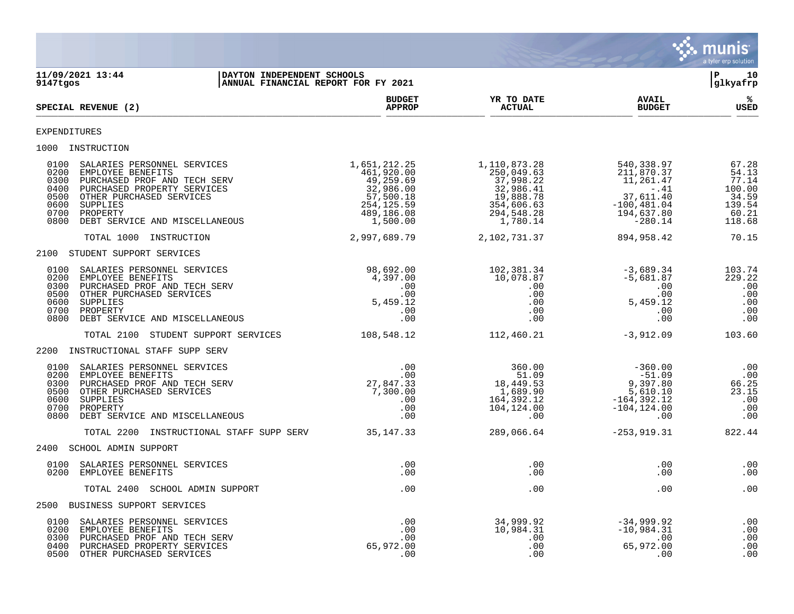

| 11/09/2021 13:44<br>DAYTON INDEPENDENT SCHOOLS<br>ANNUAL FINANCIAL REPORT FOR FY 2021<br>9147tgos                                                                                                                                                                     |                                                                                                           |                                                                                                           |                                                                                                           | l P-<br>10<br>glkyafrp                                                  |
|-----------------------------------------------------------------------------------------------------------------------------------------------------------------------------------------------------------------------------------------------------------------------|-----------------------------------------------------------------------------------------------------------|-----------------------------------------------------------------------------------------------------------|-----------------------------------------------------------------------------------------------------------|-------------------------------------------------------------------------|
| SPECIAL REVENUE (2)                                                                                                                                                                                                                                                   | <b>BUDGET</b><br><b>APPROP</b>                                                                            | YR TO DATE<br><b>ACTUAL</b>                                                                               | <b>AVAIL</b><br><b>BUDGET</b>                                                                             | %ะ<br>USED                                                              |
| <b>EXPENDITURES</b>                                                                                                                                                                                                                                                   |                                                                                                           |                                                                                                           |                                                                                                           |                                                                         |
| 1000 INSTRUCTION                                                                                                                                                                                                                                                      |                                                                                                           |                                                                                                           |                                                                                                           |                                                                         |
| 0100<br>SALARIES PERSONNEL SERVICES<br>0200<br>EMPLOYEE BENEFITS<br>0300<br>PURCHASED PROF AND TECH SERV<br>0400<br>PURCHASED PROPERTY SERVICES<br>0500<br>OTHER PURCHASED SERVICES<br>0600<br>SUPPLIES<br>0700<br>PROPERTY<br>0800<br>DEBT SERVICE AND MISCELLANEOUS | 1,651,212.25<br>461,920.00<br>49,259.69<br>32,986.00<br>57,500.18<br>254,125.59<br>489,186.08<br>1,500.00 | 1,110,873.28<br>250,049.63<br>37,998.22<br>32,986.41<br>19,888.78<br>354,606.63<br>294,548.28<br>1,780.14 | 540,338.97<br>211,870.37<br>11,261.47<br>$-.41$<br>37,611.40<br>$-100, 481.04$<br>194,637.80<br>$-280.14$ | 67.28<br>54.13<br>77.14<br>100.00<br>34.59<br>139.54<br>60.21<br>118.68 |
| TOTAL 1000 INSTRUCTION                                                                                                                                                                                                                                                | 2,997,689.79                                                                                              | 2,102,731.37                                                                                              | 894,958.42                                                                                                | 70.15                                                                   |
| 2100 STUDENT SUPPORT SERVICES                                                                                                                                                                                                                                         |                                                                                                           |                                                                                                           |                                                                                                           |                                                                         |
| 0100<br>SALARIES PERSONNEL SERVICES<br>0200<br>EMPLOYEE BENEFITS<br>0300<br>PURCHASED PROF AND TECH SERV<br>0500<br>OTHER PURCHASED SERVICES<br>0600<br>SUPPLIES<br>0700<br>PROPERTY<br>0800<br>DEBT SERVICE AND MISCELLANEOUS                                        | 98,692.00<br>4,397.00<br>.00<br>.00<br>5,459.12<br>.00<br>.00                                             | 102,381.34<br>10,078.87<br>.00<br>.00<br>.00<br>.00<br>.00                                                | $-3,689.34$<br>$-5,681.87$<br>.00<br>.00<br>5,459.12<br>.00<br>.00                                        | 103.74<br>229.22<br>.00<br>.00<br>.00<br>.00<br>.00                     |
| TOTAL 2100 STUDENT SUPPORT SERVICES                                                                                                                                                                                                                                   | 108,548.12                                                                                                | 112,460.21                                                                                                | $-3,912.09$                                                                                               | 103.60                                                                  |
| 2200 INSTRUCTIONAL STAFF SUPP SERV                                                                                                                                                                                                                                    |                                                                                                           |                                                                                                           |                                                                                                           |                                                                         |
| 0100<br>SALARIES PERSONNEL SERVICES<br>0200<br>EMPLOYEE BENEFITS<br>0300<br>PURCHASED PROF AND TECH SERV<br>0500<br>OTHER PURCHASED SERVICES<br>0600<br>SUPPLIES<br>0700<br>PROPERTY<br>0800<br>DEBT SERVICE AND MISCELLANEOUS                                        | .00<br>.00<br>27,847.33<br>7,300.00<br>.00<br>.00<br>.00                                                  | 360.00<br>51.09<br>18,449.53<br>1,689.90<br>164,392.12<br>104,124.00<br>.00                               | $-360.00$<br>$-51.09$<br>9,397.80<br>5,610.10<br>$-164, 392.12$<br>$-104, 124.00$<br>.00                  | .00<br>.00<br>66.25<br>23.15<br>.00<br>.00<br>.00                       |
| TOTAL 2200 INSTRUCTIONAL STAFF SUPP SERV                                                                                                                                                                                                                              | 35, 147. 33                                                                                               | 289,066.64                                                                                                | $-253, 919.31$                                                                                            | 822.44                                                                  |
| 2400 SCHOOL ADMIN SUPPORT                                                                                                                                                                                                                                             |                                                                                                           |                                                                                                           |                                                                                                           |                                                                         |
| 0100<br>SALARIES PERSONNEL SERVICES<br>0200<br>EMPLOYEE BENEFITS                                                                                                                                                                                                      | .00<br>.00                                                                                                | .00<br>.00                                                                                                | .00<br>.00                                                                                                | .00<br>.00                                                              |
| TOTAL 2400 SCHOOL ADMIN SUPPORT                                                                                                                                                                                                                                       | .00                                                                                                       | .00                                                                                                       | .00                                                                                                       | .00                                                                     |
| 2500 BUSINESS SUPPORT SERVICES                                                                                                                                                                                                                                        |                                                                                                           |                                                                                                           |                                                                                                           |                                                                         |
| 0100<br>SALARIES PERSONNEL SERVICES<br>0200<br>EMPLOYEE BENEFITS<br>0300<br>PURCHASED PROF AND TECH SERV<br>0400<br>PURCHASED PROPERTY SERVICES<br>0500<br>OTHER PURCHASED SERVICES                                                                                   | .00<br>.00<br>.00<br>65,972.00<br>.00                                                                     | 34,999.92<br>10,984.31<br>.00<br>.00<br>.00                                                               | $-34,999.92$<br>$-10,984.31$<br>.00<br>65,972.00<br>.00                                                   | .00<br>.00<br>.00<br>.00<br>.00                                         |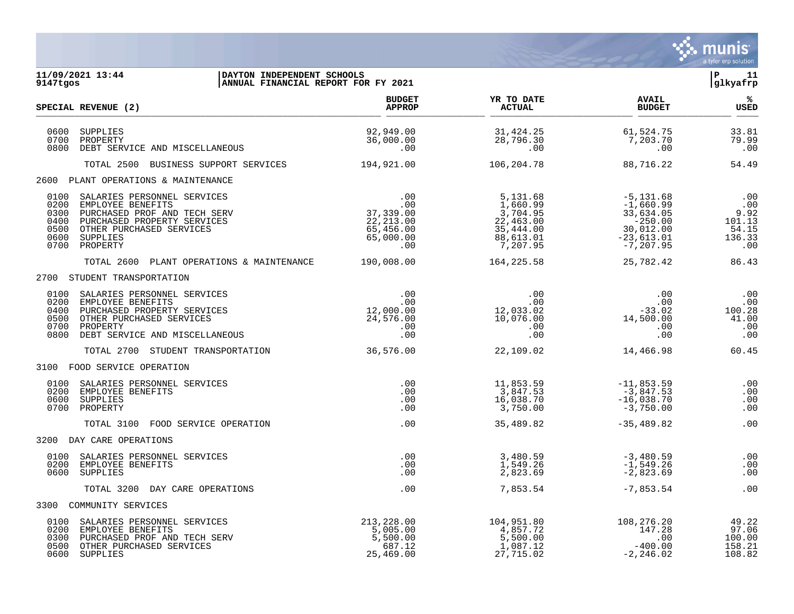

| 11/09/2021 13:44<br>DAYTON INDEPENDENT SCHOOLS<br>ANNUAL FINANCIAL REPORT FOR FY 2021<br>9147tgos                                                                                                                                                                           |                                                           |                                                                                     |                                                                                                  | l P<br>11<br>glkyafrp                                  |
|-----------------------------------------------------------------------------------------------------------------------------------------------------------------------------------------------------------------------------------------------------------------------------|-----------------------------------------------------------|-------------------------------------------------------------------------------------|--------------------------------------------------------------------------------------------------|--------------------------------------------------------|
| SPECIAL REVENUE (2)                                                                                                                                                                                                                                                         | <b>BUDGET</b><br><b>APPROP</b>                            | YR TO DATE<br><b>ACTUAL</b>                                                         | <b>AVAIL</b><br><b>BUDGET</b>                                                                    | %ะ<br><b>USED</b>                                      |
| 0600<br>SUPPLIES<br>0700<br>PROPERTY<br>0800 DEBT SERVICE AND MISCELLANEOUS                                                                                                                                                                                                 | 92,949.00<br>36,000.00<br>.00                             | 31,424.25<br>28,796.30<br>.00                                                       | 61,524.75<br>7,203.70<br>.00                                                                     | 33.81<br>79.99<br>.00                                  |
| TOTAL 2500 BUSINESS SUPPORT SERVICES                                                                                                                                                                                                                                        | 194,921.00                                                | 106,204.78                                                                          | 88,716.22                                                                                        | 54.49                                                  |
| 2600 PLANT OPERATIONS & MAINTENANCE                                                                                                                                                                                                                                         |                                                           |                                                                                     |                                                                                                  |                                                        |
| SALARIES PERSONNEL SERVICES<br>0100<br>$.00$<br>$.00$<br>$37,339.00$<br>$22,213.00$<br>$65,496.00$<br>0200<br>EMPLOYEE BENEFITS<br>0300 PURCHASED PROF AND TECH SERV<br>0400 PURCHASED PROPERTY SERVICES<br>0500 OTHER PURCHASED SERVICES<br>0600 SUPPLIES<br>0700 PROPERTY | 00.00<br>65,000.00<br>.00                                 | 5,131.68<br>1,660.99<br>3,704.95<br>22,463.00<br>35,444.00<br>88,613.01<br>7,207.95 | $-5,131.68$<br>$-1,660.99$<br>33,634.05<br>$-250.00$<br>30,012.00<br>$-23,613.01$<br>$-7,207.95$ | .00<br>.00<br>9.92<br>101.13<br>54.15<br>136.33<br>.00 |
| TOTAL 2600 PLANT OPERATIONS & MAINTENANCE                                                                                                                                                                                                                                   | 190,008.00                                                | 164, 225.58                                                                         | 25,782.42                                                                                        | 86.43                                                  |
| 2700 STUDENT TRANSPORTATION                                                                                                                                                                                                                                                 |                                                           |                                                                                     |                                                                                                  |                                                        |
| SALARIES PERSONNEL SERVICES<br>0100<br>0200 EMPLOYEE BENEFITS<br>0400 PURCHASED PROPERTY SERVICES<br>0500 OTHER PURCHASED SERVICES<br>0700 PROPERTY<br>0800 DEBT SERVICE AND MISCELLANEOUS                                                                                  | .00<br>.00<br>12,000.00<br>24,576.00<br>.00<br>.00        | .00<br>.00<br>12,033.02<br>10,076.00<br>.00<br>.00<br>.00                           | .00<br>.00<br>$-33.02$<br>14,500.00<br>.00<br>.00                                                | .00<br>.00<br>100.28<br>41.00<br>.00<br>.00            |
| TOTAL 2700 STUDENT TRANSPORTATION                                                                                                                                                                                                                                           | 36,576.00                                                 | 22,109.02                                                                           | 14,466.98                                                                                        | 60.45                                                  |
| 3100 FOOD SERVICE OPERATION                                                                                                                                                                                                                                                 |                                                           |                                                                                     |                                                                                                  |                                                        |
| 0100<br>SALARIES PERSONNEL SERVICES<br>0200 EMPLOYEE BENEFITS<br>0600 SUPPLIES<br>0700 PROPERTY                                                                                                                                                                             | .00<br>.00<br>.00<br>.00                                  | 11,853.59<br>3,847.53<br>16,038.70<br>3,750.00                                      | $-11,853.59$<br>$-3,847.53$<br>$-16,038.70$<br>$-3,750.00$                                       | .00<br>.00<br>.00<br>.00                               |
| TOTAL 3100 FOOD SERVICE OPERATION                                                                                                                                                                                                                                           | .00                                                       | 35,489.82                                                                           | $-35,489.82$                                                                                     | .00                                                    |
| 3200 DAY CARE OPERATIONS                                                                                                                                                                                                                                                    |                                                           |                                                                                     |                                                                                                  |                                                        |
| 0100 SALARIES PERSONNEL SERVICES<br>0200 EMPLOYEE BENEFITS<br>0600 SUPPLIES                                                                                                                                                                                                 | .00<br>.00<br>.00                                         | 3,480.59<br>1,549.26<br>2,823.69                                                    | $-3,480.59$<br>$-1,549.26$<br>$-2,823.69$                                                        | .00<br>.00<br>.00                                      |
| TOTAL 3200 DAY CARE OPERATIONS                                                                                                                                                                                                                                              | .00                                                       | 7,853.54                                                                            | $-7,853.54$                                                                                      | .00                                                    |
| 3300 COMMUNITY SERVICES                                                                                                                                                                                                                                                     |                                                           |                                                                                     |                                                                                                  |                                                        |
| SALARIES PERSONNEL SERVICES<br>0100<br>0200 EMPLOYEE BENEFITS<br>0300 PURCHASED PROF AND TECH SERV<br>0500 OTHER PURCHASED SERVICES<br>0600 SUPPLIES                                                                                                                        | 213,228.00<br>5,005.00<br>5,500.00<br>687.12<br>25,469.00 | 104,951.80<br>4,857.72<br>5,500.00<br>1,087.12<br>27,715.02                         | 108,276.20<br>147.28<br>100<br>$-400.00$<br>$-2, 246.02$                                         | 49.22<br>97.06<br>100.00<br>158.21<br>108.82           |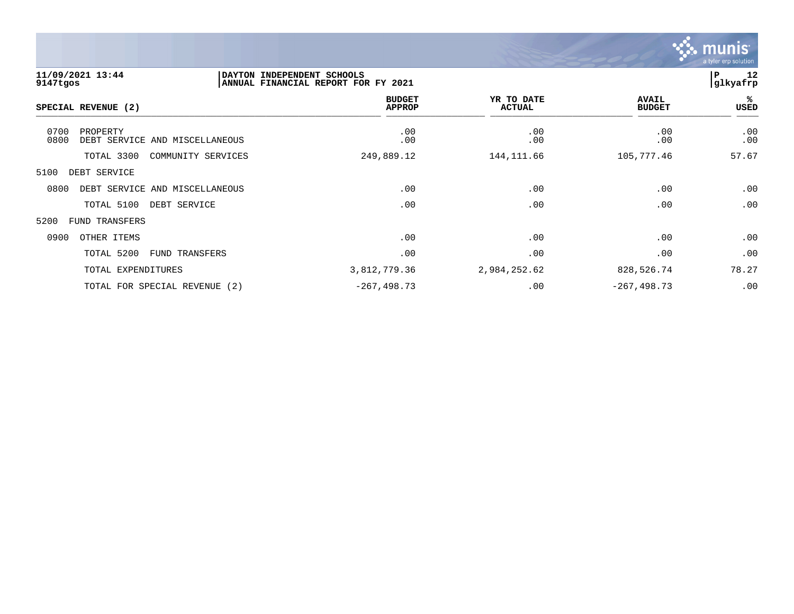

| 9147tgos     | 11/09/2021 13:44    |                                | DAYTON INDEPENDENT SCHOOLS<br>ANNUAL FINANCIAL REPORT FOR FY 2021 |                             |                |                               | 12<br>l P<br>glkyafrp |
|--------------|---------------------|--------------------------------|-------------------------------------------------------------------|-----------------------------|----------------|-------------------------------|-----------------------|
|              | SPECIAL REVENUE (2) |                                | <b>BUDGET</b><br><b>APPROP</b>                                    | YR TO DATE<br><b>ACTUAL</b> |                | <b>AVAIL</b><br><b>BUDGET</b> | %ะ<br><b>USED</b>     |
| 0700<br>0800 | PROPERTY            | DEBT SERVICE AND MISCELLANEOUS | .00<br>.00                                                        | .00<br>.00                  |                | .00<br>.00                    | .00<br>.00            |
|              | TOTAL 3300          | COMMUNITY SERVICES             | 249,889.12                                                        | 144, 111.66                 |                | 105,777.46                    | 57.67                 |
| 5100         | DEBT SERVICE        |                                |                                                                   |                             |                |                               |                       |
| 0800         |                     | DEBT SERVICE AND MISCELLANEOUS | .00                                                               | .00                         |                | .00                           | .00                   |
|              | TOTAL 5100          | DEBT SERVICE                   | .00                                                               | .00                         |                | .00                           | .00                   |
| 5200         | FUND TRANSFERS      |                                |                                                                   |                             |                |                               |                       |
| 0900         | OTHER ITEMS         |                                | .00                                                               | .00                         |                | .00                           | .00                   |
|              | TOTAL 5200          | FUND TRANSFERS                 | .00                                                               | .00                         |                | .00                           | .00                   |
|              | TOTAL EXPENDITURES  |                                | 3,812,779.36                                                      | 2,984,252.62                |                | 828,526.74                    | 78.27                 |
|              |                     | TOTAL FOR SPECIAL REVENUE (2)  | $-267, 498.73$                                                    | .00                         | $-267, 498.73$ |                               | .00                   |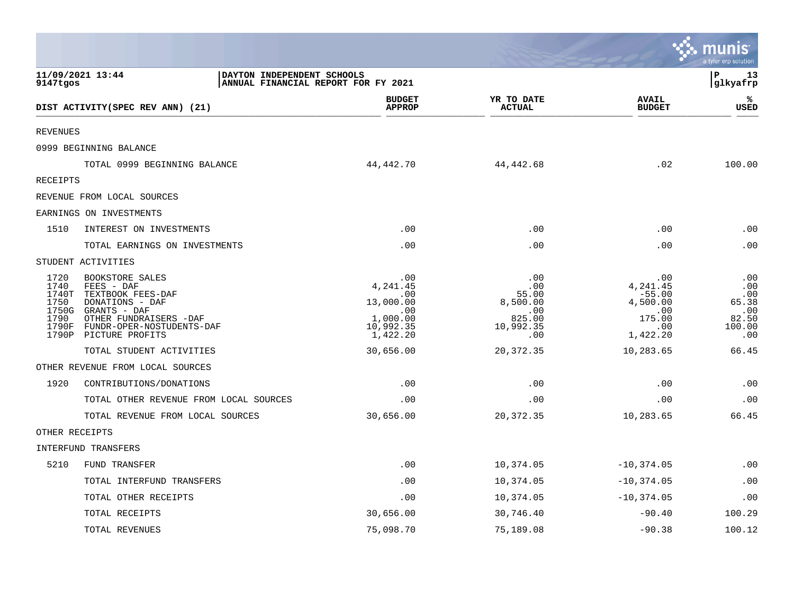|                                                |                                                                                                                                                                             |                                                                                 |                                                                      |                                                                             | <b>MANIS</b><br>a tyler erp solution                        |
|------------------------------------------------|-----------------------------------------------------------------------------------------------------------------------------------------------------------------------------|---------------------------------------------------------------------------------|----------------------------------------------------------------------|-----------------------------------------------------------------------------|-------------------------------------------------------------|
| 9147tgos                                       | 11/09/2021 13:44<br>DAYTON INDEPENDENT SCHOOLS<br>ANNUAL FINANCIAL REPORT FOR FY 2021                                                                                       |                                                                                 |                                                                      |                                                                             | l P<br>13<br>glkyafrp                                       |
|                                                | DIST ACTIVITY (SPEC REV ANN) (21)                                                                                                                                           | <b>BUDGET</b><br><b>APPROP</b>                                                  | YR TO DATE<br><b>ACTUAL</b>                                          | <b>AVAIL</b><br><b>BUDGET</b>                                               | ℁<br><b>USED</b>                                            |
| <b>REVENUES</b>                                |                                                                                                                                                                             |                                                                                 |                                                                      |                                                                             |                                                             |
|                                                | 0999 BEGINNING BALANCE                                                                                                                                                      |                                                                                 |                                                                      |                                                                             |                                                             |
|                                                | TOTAL 0999 BEGINNING BALANCE                                                                                                                                                | 44,442.70                                                                       | 44, 442.68                                                           | .02                                                                         | 100.00                                                      |
| <b>RECEIPTS</b>                                |                                                                                                                                                                             |                                                                                 |                                                                      |                                                                             |                                                             |
|                                                | REVENUE FROM LOCAL SOURCES                                                                                                                                                  |                                                                                 |                                                                      |                                                                             |                                                             |
|                                                | EARNINGS ON INVESTMENTS                                                                                                                                                     |                                                                                 |                                                                      |                                                                             |                                                             |
| 1510                                           | INTEREST ON INVESTMENTS                                                                                                                                                     | .00                                                                             | .00                                                                  | .00                                                                         | .00                                                         |
|                                                | TOTAL EARNINGS ON INVESTMENTS                                                                                                                                               | .00                                                                             | .00                                                                  | .00                                                                         | .00                                                         |
|                                                | STUDENT ACTIVITIES                                                                                                                                                          |                                                                                 |                                                                      |                                                                             |                                                             |
| 1720<br>1740<br>1740T<br>1750<br>1750G<br>1790 | BOOKSTORE SALES<br>FEES - DAF<br>TEXTBOOK FEES-DAF<br>DONATIONS - DAF<br>GRANTS - DAF<br>OTHER FUNDRAISERS -DAF<br>1790F FUNDR-OPER-NOSTUDENTS-DAF<br>1790P PICTURE PROFITS | .00<br>4,241.45<br>.00<br>13,000.00<br>.00<br>1,000.00<br>10,992.35<br>1,422.20 | .00<br>.00<br>55.00<br>8,500.00<br>.00<br>825.00<br>10,992.35<br>.00 | .00<br>4,241.45<br>$-55.00$<br>4,500.00<br>.00<br>175.00<br>.00<br>1,422.20 | .00<br>.00<br>.00<br>65.38<br>.00<br>82.50<br>100.00<br>.00 |
|                                                | TOTAL STUDENT ACTIVITIES                                                                                                                                                    | 30,656.00                                                                       | 20, 372.35                                                           | 10,283.65                                                                   | 66.45                                                       |
|                                                | OTHER REVENUE FROM LOCAL SOURCES                                                                                                                                            |                                                                                 |                                                                      |                                                                             |                                                             |
| 1920                                           | CONTRIBUTIONS/DONATIONS                                                                                                                                                     | .00                                                                             | .00                                                                  | .00                                                                         | .00                                                         |
|                                                | TOTAL OTHER REVENUE FROM LOCAL SOURCES                                                                                                                                      | .00                                                                             | .00                                                                  | .00                                                                         | .00                                                         |
|                                                | TOTAL REVENUE FROM LOCAL SOURCES                                                                                                                                            | 30,656.00                                                                       | 20,372.35                                                            | 10,283.65                                                                   | 66.45                                                       |
| OTHER RECEIPTS                                 |                                                                                                                                                                             |                                                                                 |                                                                      |                                                                             |                                                             |
|                                                | INTERFUND TRANSFERS                                                                                                                                                         |                                                                                 |                                                                      |                                                                             |                                                             |
| 5210                                           | FUND TRANSFER                                                                                                                                                               | .00                                                                             | 10,374.05                                                            | $-10,374.05$                                                                | .00                                                         |
|                                                | TOTAL INTERFUND TRANSFERS                                                                                                                                                   | .00                                                                             | 10,374.05                                                            | $-10, 374.05$                                                               | .00                                                         |
|                                                | TOTAL OTHER RECEIPTS                                                                                                                                                        | .00                                                                             | 10,374.05                                                            | $-10, 374.05$                                                               | .00                                                         |
|                                                | TOTAL RECEIPTS                                                                                                                                                              | 30,656.00                                                                       | 30,746.40                                                            | $-90.40$                                                                    | 100.29                                                      |
|                                                | TOTAL REVENUES                                                                                                                                                              | 75,098.70                                                                       | 75,189.08                                                            | $-90.38$                                                                    | 100.12                                                      |

 $\sim$   $\sim$   $\sim$   $\sim$   $\sim$   $\sim$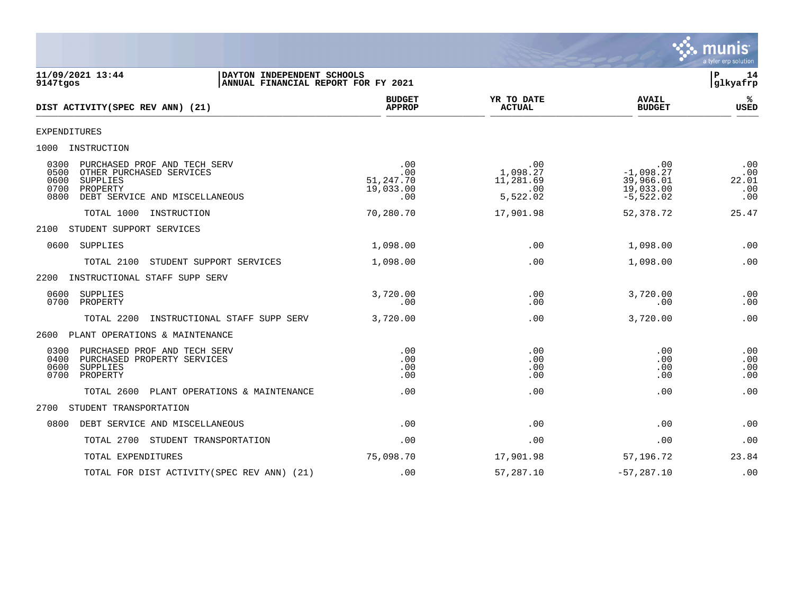

**11/09/2021 13:44 |DAYTON INDEPENDENT SCHOOLS |P 14** ANNUAL FINANCIAL REPORT FOR FY 2021 **BUDGET YR TO DATE AVAIL %**  $DIST$   $ACTIVITY(SPEC$   $REV$   $ANN$   $(21)$  $\frac{\text{AFFNet}}{\text{AFFNet}}$   $\frac{\text{AFFNet}}{\text{AFFNet}}$   $\frac{\text{AFFNet}}{\text{AFFNet}}$   $\frac{\text{AFFNet}}{\text{AFFNet}}$   $\frac{\text{AFFNet}}{\text{AFFNet}}$ EXPENDITURES 1000 INSTRUCTION 0300 PURCHASED PROF AND TECH SERV .00 .00 .00 .00 0500 OTHER PURCHASED SERVICES ... 00 ... 00 ... 1,098.27 ... 1,098.27 ... 00 ... 1,098.27 ... 00<br>11,281.69 ... 39,966.01 ... 39,966.01 ... 247.70 ... 11,281.69 ... 39,966.01 ... 247.00 0600 SUPPLIES 51,247.70 11,281.69 39,966.01 22.01 0700 PROPERTY 19,033.00 .00 19,033.00 .00 0800 DEBT SERVICE AND MISCELLANEOUS .00 5,522.02 -5,522.02 .00 TOTAL 1000 INSTRUCTION 70,280.70 17,901.98 52,378.72 25.47 2100 STUDENT SUPPORT SERVICES 0600 SUPPLIES 1,098.00 .00 1,098.00 .00 TOTAL 2100 STUDENT SUPPORT SERVICES  $1,098.00$  .00 .00 .00 .00 .00 .00 2200 INSTRUCTIONAL STAFF SUPP SERV 0600 SUPPLIES 3,720.00 .00 3,720.00 .00 0700 PROPERTY .00 .00 .00 .00 TOTAL 2200 INSTRUCTIONAL STAFF SUPP SERV 3,720.00 .00 3,720.00 .00 2600 PLANT OPERATIONS & MAINTENANCE 0300 PURCHASED PROF AND TECH SERV .00 .00 .00 .00 0400 PURCHASED PROPERTY SERVICES .00 .00 .00 .00 0600 SUPPLIES .00 .00 .00 .00 0700 PROPERTY .00 .00 .00 .00 TOTAL 2600 PLANT OPERATIONS & MAINTENANCE .00 .00 .00 .00 2700 STUDENT TRANSPORTATION 0800 DEBT SERVICE AND MISCELLANEOUS .00 .00 .00 .00 TOTAL 2700 STUDENT TRANSPORTATION .00 .00 .00 .00 TOTAL EXPENDITURES 75,098.70 17,901.98 57,196.72 23.84 TOTAL FOR DIST ACTIVITY(SPEC REV ANN) (21) .00 .00 57,287.10 -57,287.10 -57,287.10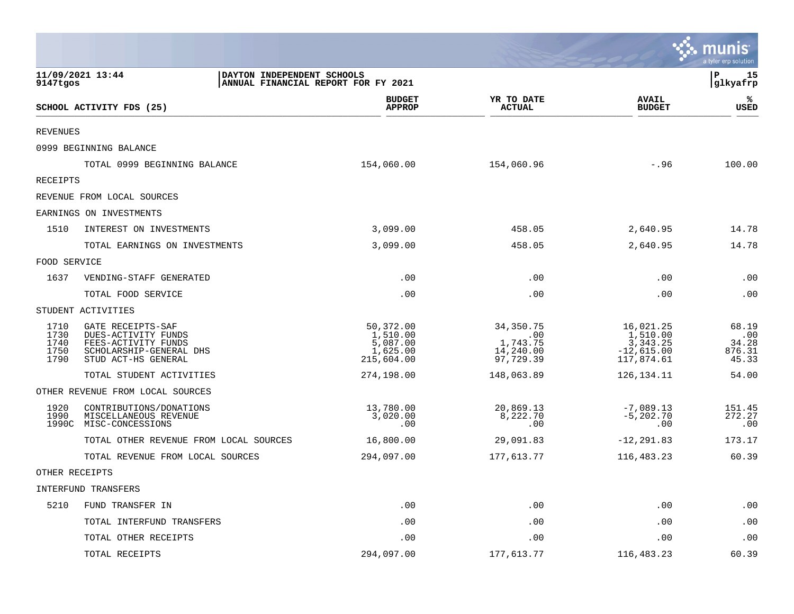|                                      |                                                                                                                   |                                                             |                                                          |                                                                 | <b>as munis</b><br>a tyler erp solution  |
|--------------------------------------|-------------------------------------------------------------------------------------------------------------------|-------------------------------------------------------------|----------------------------------------------------------|-----------------------------------------------------------------|------------------------------------------|
| 9147tgos                             | 11/09/2021 13:44<br>DAYTON INDEPENDENT SCHOOLS<br>ANNUAL FINANCIAL REPORT FOR FY 2021                             |                                                             |                                                          |                                                                 | l P<br>15<br>glkyafrp                    |
|                                      | SCHOOL ACTIVITY FDS (25)                                                                                          | <b>BUDGET</b><br><b>APPROP</b>                              | YR TO DATE<br><b>ACTUAL</b>                              | <b>AVAIL</b><br><b>BUDGET</b>                                   | ℁<br><b>USED</b>                         |
| <b>REVENUES</b>                      |                                                                                                                   |                                                             |                                                          |                                                                 |                                          |
|                                      | 0999 BEGINNING BALANCE                                                                                            |                                                             |                                                          |                                                                 |                                          |
|                                      | TOTAL 0999 BEGINNING BALANCE                                                                                      | 154,060.00                                                  | 154,060.96                                               | $-.96$                                                          | 100.00                                   |
| RECEIPTS                             |                                                                                                                   |                                                             |                                                          |                                                                 |                                          |
|                                      | REVENUE FROM LOCAL SOURCES                                                                                        |                                                             |                                                          |                                                                 |                                          |
|                                      | EARNINGS ON INVESTMENTS                                                                                           |                                                             |                                                          |                                                                 |                                          |
| 1510                                 | INTEREST ON INVESTMENTS                                                                                           | 3,099.00                                                    | 458.05                                                   | 2,640.95                                                        | 14.78                                    |
|                                      | TOTAL EARNINGS ON INVESTMENTS                                                                                     | 3,099.00                                                    | 458.05                                                   | 2,640.95                                                        | 14.78                                    |
| FOOD SERVICE                         |                                                                                                                   |                                                             |                                                          |                                                                 |                                          |
| 1637                                 | VENDING-STAFF GENERATED                                                                                           | .00                                                         | .00                                                      | .00                                                             | .00                                      |
|                                      | TOTAL FOOD SERVICE                                                                                                | .00                                                         | .00                                                      | .00                                                             | $\boldsymbol{\mathsf{.00}}$              |
|                                      | STUDENT ACTIVITIES                                                                                                |                                                             |                                                          |                                                                 |                                          |
| 1710<br>1730<br>1740<br>1750<br>1790 | GATE RECEIPTS-SAF<br>DUES-ACTIVITY FUNDS<br>FEES-ACTIVITY FUNDS<br>SCHOLARSHIP-GENERAL DHS<br>STUD ACT-HS GENERAL | 50,372.00<br>1,510.00<br>5,087.00<br>1,625.00<br>215,604.00 | 34, 350. 75<br>.00<br>1,743.75<br>14,240.00<br>97,729.39 | 16,021.25<br>1,510.00<br>3,343.25<br>$-12,615.00$<br>117,874.61 | 68.19<br>.00<br>34.28<br>876.31<br>45.33 |
|                                      | TOTAL STUDENT ACTIVITIES                                                                                          | 274,198.00                                                  | 148,063.89                                               | 126, 134. 11                                                    | 54.00                                    |
|                                      | OTHER REVENUE FROM LOCAL SOURCES                                                                                  |                                                             |                                                          |                                                                 |                                          |
| 1920<br>1990                         | CONTRIBUTIONS/DONATIONS<br>MISCELLANEOUS REVENUE<br>1990C MISC-CONCESSIONS                                        | 13,780.00<br>3,020.00<br>.00                                | 20,869.13<br>8,222.70<br>.00                             | $-7,089.13$<br>$-5, 202.70$<br>.00                              | 151.45<br>272.27<br>.00                  |
|                                      | TOTAL OTHER REVENUE FROM LOCAL SOURCES                                                                            | 16,800.00                                                   | 29,091.83                                                | $-12, 291.83$                                                   | 173.17                                   |
|                                      | TOTAL REVENUE FROM LOCAL SOURCES                                                                                  | 294,097.00                                                  | 177,613.77                                               | 116,483.23                                                      | 60.39                                    |
| OTHER RECEIPTS                       |                                                                                                                   |                                                             |                                                          |                                                                 |                                          |
|                                      | INTERFUND TRANSFERS                                                                                               |                                                             |                                                          |                                                                 |                                          |
| 5210                                 | FUND TRANSFER IN                                                                                                  | .00                                                         | .00                                                      | .00                                                             | .00                                      |
|                                      | TOTAL INTERFUND TRANSFERS                                                                                         | .00                                                         | .00                                                      | .00                                                             | .00                                      |
|                                      | TOTAL OTHER RECEIPTS                                                                                              | .00                                                         | .00                                                      | .00                                                             | .00                                      |
|                                      | TOTAL RECEIPTS                                                                                                    | 294,097.00                                                  | 177,613.77                                               | 116,483.23                                                      | 60.39                                    |

 $\sim$   $\sim$   $\sim$   $\sim$   $\sim$   $\sim$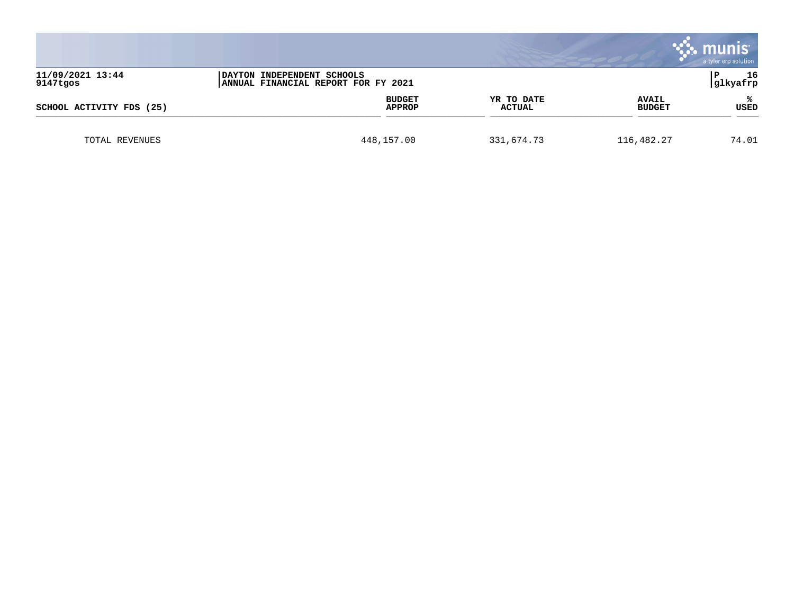|                              |                                                                   |                             |                               | munis<br>a tyler erp solution |
|------------------------------|-------------------------------------------------------------------|-----------------------------|-------------------------------|-------------------------------|
| 11/09/2021 13:44<br>9147tgos | DAYTON INDEPENDENT SCHOOLS<br>ANNUAL FINANCIAL REPORT FOR FY 2021 |                             |                               | 16<br>glkyafrp                |
| SCHOOL ACTIVITY FDS (25)     | <b>BUDGET</b><br><b>APPROP</b>                                    | YR TO DATE<br><b>ACTUAL</b> | <b>AVAIL</b><br><b>BUDGET</b> | USED                          |
| TOTAL REVENUES               | 448,157.00                                                        | 331,674.73                  | 116,482.27                    | 74.01                         |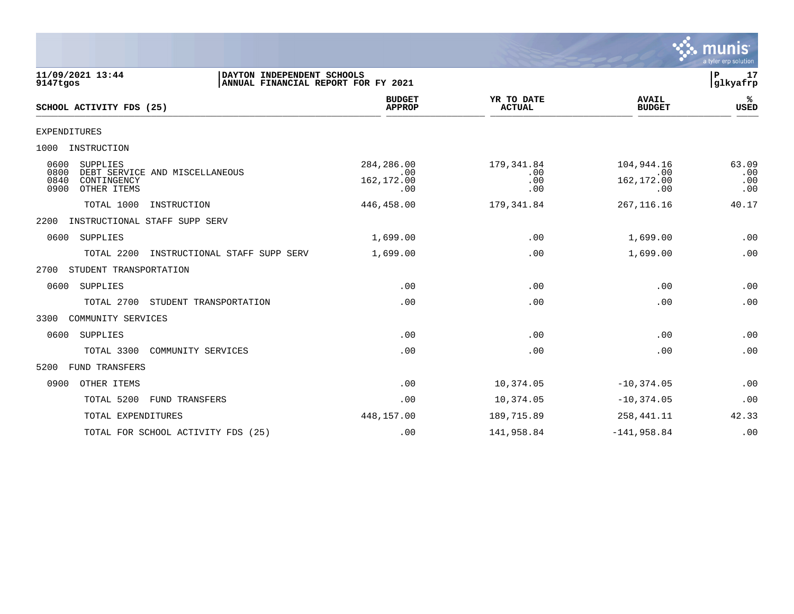

| 11/09/2021 13:44<br>DAYTON INDEPENDENT SCHOOLS<br>ANNUAL FINANCIAL REPORT FOR FY 2021<br>9147tgos        |                                         |                                 |                                        | P.<br>17<br>glkyafrp       |
|----------------------------------------------------------------------------------------------------------|-----------------------------------------|---------------------------------|----------------------------------------|----------------------------|
| SCHOOL ACTIVITY FDS (25)                                                                                 | <b>BUDGET</b><br><b>APPROP</b>          | YR TO DATE<br><b>ACTUAL</b>     | <b>AVAIL</b><br><b>BUDGET</b>          | %ะ<br>USED                 |
| <b>EXPENDITURES</b>                                                                                      |                                         |                                 |                                        |                            |
| 1000<br>INSTRUCTION                                                                                      |                                         |                                 |                                        |                            |
| 0600<br>SUPPLIES<br>0800<br>DEBT SERVICE AND MISCELLANEOUS<br>0840<br>CONTINGENCY<br>0900<br>OTHER ITEMS | 284, 286.00<br>.00<br>162,172.00<br>.00 | 179,341.84<br>.00<br>.00<br>.00 | 104,944.16<br>.00<br>162,172.00<br>.00 | 63.09<br>.00<br>.00<br>.00 |
| TOTAL 1000<br>INSTRUCTION                                                                                | 446,458.00                              | 179,341.84                      | 267, 116.16                            | 40.17                      |
| INSTRUCTIONAL STAFF SUPP SERV<br>2200                                                                    |                                         |                                 |                                        |                            |
| 0600<br>SUPPLIES                                                                                         | 1,699.00                                | .00                             | 1,699.00                               | .00                        |
| TOTAL 2200<br>INSTRUCTIONAL STAFF SUPP SERV                                                              | 1,699.00                                | .00                             | 1,699.00                               | .00                        |
| 2700<br>STUDENT TRANSPORTATION                                                                           |                                         |                                 |                                        |                            |
| SUPPLIES<br>0600                                                                                         | .00                                     | .00                             | .00                                    | .00                        |
| TOTAL 2700<br>STUDENT TRANSPORTATION                                                                     | .00                                     | .00                             | .00                                    | .00                        |
| COMMUNITY SERVICES<br>3300                                                                               |                                         |                                 |                                        |                            |
| 0600<br>SUPPLIES                                                                                         | .00                                     | .00                             | .00                                    | .00                        |
| TOTAL 3300<br>COMMUNITY SERVICES                                                                         | .00                                     | .00                             | .00                                    | .00                        |
| <b>FUND TRANSFERS</b><br>5200                                                                            |                                         |                                 |                                        |                            |
| 0900<br>OTHER ITEMS                                                                                      | .00                                     | 10,374.05                       | $-10, 374.05$                          | .00                        |
| TOTAL 5200<br>FUND TRANSFERS                                                                             | .00                                     | 10,374.05                       | $-10, 374.05$                          | .00                        |
| TOTAL EXPENDITURES                                                                                       | 448,157.00                              | 189,715.89                      | 258, 441. 11                           | 42.33                      |
| TOTAL FOR SCHOOL ACTIVITY FDS (25)                                                                       | .00                                     | 141,958.84                      | $-141,958.84$                          | .00                        |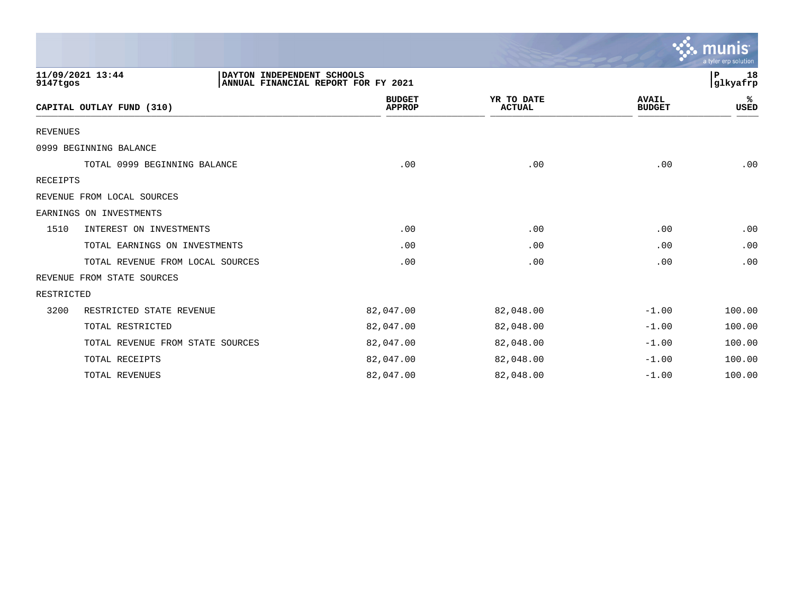|                 |                                                                                       |                                |                             |                               | munis<br>a tyler erp solution |
|-----------------|---------------------------------------------------------------------------------------|--------------------------------|-----------------------------|-------------------------------|-------------------------------|
| 9147tgos        | 11/09/2021 13:44<br>DAYTON INDEPENDENT SCHOOLS<br>ANNUAL FINANCIAL REPORT FOR FY 2021 |                                |                             |                               | 18<br>P<br>glkyafrp           |
|                 | CAPITAL OUTLAY FUND (310)                                                             | <b>BUDGET</b><br><b>APPROP</b> | YR TO DATE<br><b>ACTUAL</b> | <b>AVAIL</b><br><b>BUDGET</b> | ℁<br><b>USED</b>              |
| <b>REVENUES</b> |                                                                                       |                                |                             |                               |                               |
|                 | 0999 BEGINNING BALANCE                                                                |                                |                             |                               |                               |
|                 | TOTAL 0999 BEGINNING BALANCE                                                          | .00                            | .00                         | .00                           | .00                           |
| <b>RECEIPTS</b> |                                                                                       |                                |                             |                               |                               |
|                 | REVENUE FROM LOCAL SOURCES                                                            |                                |                             |                               |                               |
|                 | EARNINGS ON INVESTMENTS                                                               |                                |                             |                               |                               |
| 1510            | INTEREST ON INVESTMENTS                                                               | .00                            | .00                         | .00                           | .00                           |
|                 | TOTAL EARNINGS ON INVESTMENTS                                                         | .00                            | .00                         | .00                           | .00                           |
|                 | TOTAL REVENUE FROM LOCAL SOURCES                                                      | .00                            | .00                         | .00                           | .00                           |
|                 | REVENUE FROM STATE SOURCES                                                            |                                |                             |                               |                               |
| RESTRICTED      |                                                                                       |                                |                             |                               |                               |
| 3200            | RESTRICTED STATE REVENUE                                                              | 82,047.00                      | 82,048.00                   | $-1.00$                       | 100.00                        |
|                 | TOTAL RESTRICTED                                                                      | 82,047.00                      | 82,048.00                   | $-1.00$                       | 100.00                        |
|                 | TOTAL REVENUE FROM STATE SOURCES                                                      | 82,047.00                      | 82,048.00                   | $-1.00$                       | 100.00                        |
|                 | TOTAL RECEIPTS                                                                        | 82,047.00                      | 82,048.00                   | $-1.00$                       | 100.00                        |
|                 | TOTAL REVENUES                                                                        | 82,047.00                      | 82,048.00                   | $-1.00$                       | 100.00                        |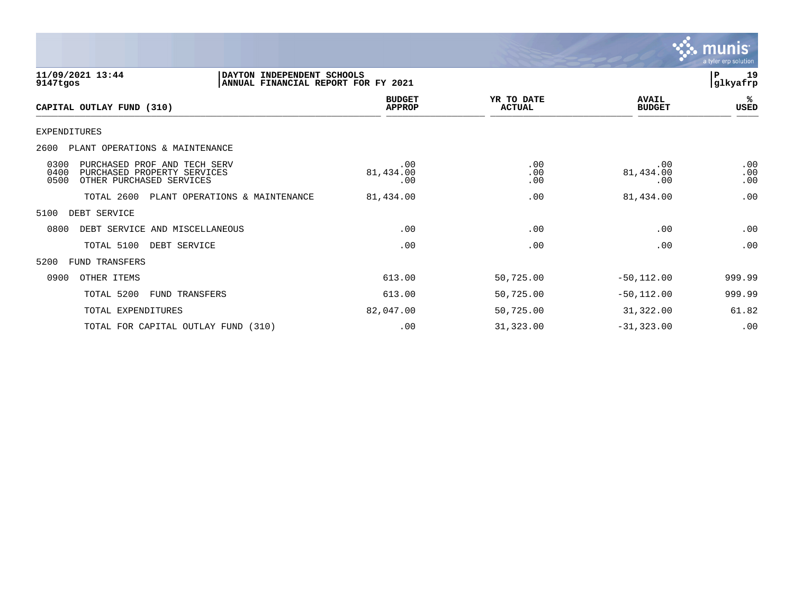

| 11/09/2021 13:44<br>9147tgos                                                                                    | DAYTON INDEPENDENT SCHOOLS<br>ANNUAL FINANCIAL REPORT FOR FY 2021 |                             |                               | 19<br>${\bf P}$<br>glkyafrp |
|-----------------------------------------------------------------------------------------------------------------|-------------------------------------------------------------------|-----------------------------|-------------------------------|-----------------------------|
| CAPITAL OUTLAY FUND (310)                                                                                       | <b>BUDGET</b><br><b>APPROP</b>                                    | YR TO DATE<br><b>ACTUAL</b> | <b>AVAIL</b><br><b>BUDGET</b> | %ะ<br>USED                  |
| <b>EXPENDITURES</b>                                                                                             |                                                                   |                             |                               |                             |
| 2600<br>PLANT OPERATIONS & MAINTENANCE                                                                          |                                                                   |                             |                               |                             |
| 0300<br>PURCHASED PROF AND TECH SERV<br>0400<br>PURCHASED PROPERTY SERVICES<br>0500<br>OTHER PURCHASED SERVICES | .00<br>81,434.00<br>.00                                           | .00<br>.00<br>.00           | .00<br>81,434.00<br>.00       | .00<br>.00<br>.00           |
| TOTAL 2600<br>PLANT OPERATIONS & MAINTENANCE                                                                    | 81,434.00                                                         | .00                         | 81,434.00                     | .00                         |
| 5100<br>DEBT SERVICE                                                                                            |                                                                   |                             |                               |                             |
| 0800<br>DEBT SERVICE AND MISCELLANEOUS                                                                          | .00                                                               | .00                         | .00                           | .00                         |
| TOTAL 5100<br>DEBT SERVICE                                                                                      | .00                                                               | .00                         | .00                           | .00                         |
| 5200<br>FUND TRANSFERS                                                                                          |                                                                   |                             |                               |                             |
| 0900<br>OTHER ITEMS                                                                                             | 613.00                                                            | 50,725.00                   | $-50, 112.00$                 | 999.99                      |
| TOTAL 5200<br>FUND TRANSFERS                                                                                    | 613.00                                                            | 50,725.00                   | $-50, 112.00$                 | 999.99                      |
| TOTAL EXPENDITURES                                                                                              | 82,047.00                                                         | 50,725.00                   | 31,322.00                     | 61.82                       |
| TOTAL FOR CAPITAL OUTLAY FUND (310)                                                                             | .00                                                               | 31,323.00                   | $-31, 323.00$                 | .00                         |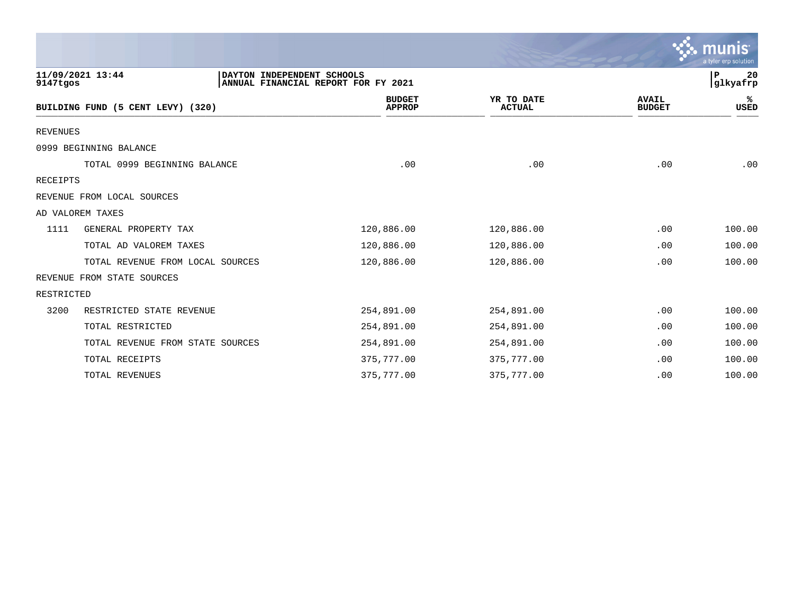|                 |                                                |                                     |                             |                               | munis<br>a tyler erp solution |
|-----------------|------------------------------------------------|-------------------------------------|-----------------------------|-------------------------------|-------------------------------|
| 9147tgos        | 11/09/2021 13:44<br>DAYTON INDEPENDENT SCHOOLS | ANNUAL FINANCIAL REPORT FOR FY 2021 |                             |                               | l P<br>20<br>glkyafrp         |
|                 | BUILDING FUND (5 CENT LEVY) (320)              | <b>BUDGET</b><br><b>APPROP</b>      | YR TO DATE<br><b>ACTUAL</b> | <b>AVAIL</b><br><b>BUDGET</b> | ℁<br>USED                     |
| <b>REVENUES</b> |                                                |                                     |                             |                               |                               |
|                 | 0999 BEGINNING BALANCE                         |                                     |                             |                               |                               |
|                 | TOTAL 0999 BEGINNING BALANCE                   | .00                                 | .00                         | .00                           | .00                           |
| <b>RECEIPTS</b> |                                                |                                     |                             |                               |                               |
|                 | REVENUE FROM LOCAL SOURCES                     |                                     |                             |                               |                               |
|                 | AD VALOREM TAXES                               |                                     |                             |                               |                               |
| 1111            | GENERAL PROPERTY TAX                           | 120,886.00                          | 120,886.00                  | .00                           | 100.00                        |
|                 | TOTAL AD VALOREM TAXES                         | 120,886.00                          | 120,886.00                  | .00                           | 100.00                        |
|                 | TOTAL REVENUE FROM LOCAL SOURCES               | 120,886.00                          | 120,886.00                  | .00                           | 100.00                        |
|                 | REVENUE FROM STATE SOURCES                     |                                     |                             |                               |                               |
| RESTRICTED      |                                                |                                     |                             |                               |                               |
| 3200            | RESTRICTED STATE REVENUE                       | 254,891.00                          | 254,891.00                  | .00                           | 100.00                        |
|                 | TOTAL RESTRICTED                               | 254,891.00                          | 254,891.00                  | .00                           | 100.00                        |
|                 | TOTAL REVENUE FROM STATE SOURCES               | 254,891.00                          | 254,891.00                  | .00                           | 100.00                        |
|                 | TOTAL RECEIPTS                                 | 375,777.00                          | 375,777.00                  | .00                           | 100.00                        |
|                 | TOTAL REVENUES                                 | 375,777.00                          | 375,777.00                  | .00                           | 100.00                        |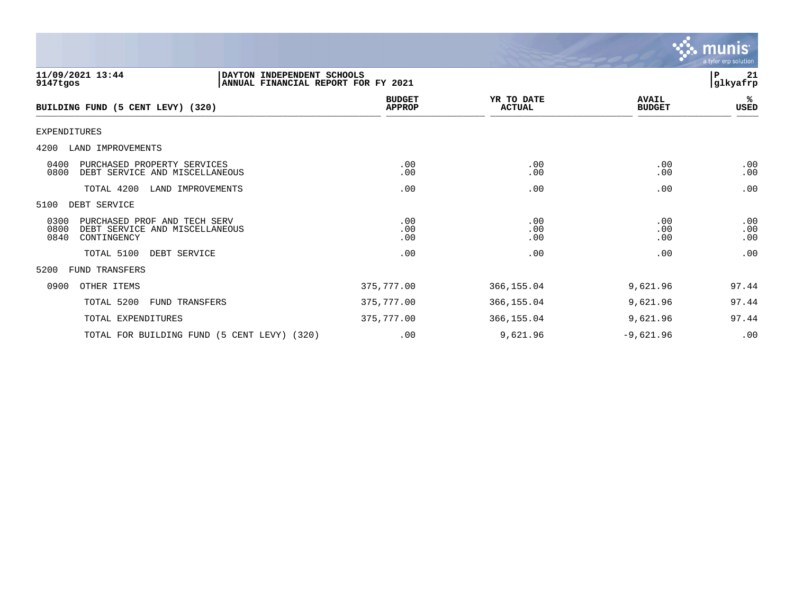

| 11/09/2021 13:44<br>DAYTON INDEPENDENT SCHOOLS<br>9147tgos                                            | ANNUAL FINANCIAL REPORT FOR FY 2021 |                             |                               | P<br>21<br>glkyafrp |
|-------------------------------------------------------------------------------------------------------|-------------------------------------|-----------------------------|-------------------------------|---------------------|
| BUILDING FUND (5 CENT LEVY) (320)                                                                     | <b>BUDGET</b><br><b>APPROP</b>      | YR TO DATE<br><b>ACTUAL</b> | <b>AVAIL</b><br><b>BUDGET</b> | ℁<br>USED           |
| EXPENDITURES                                                                                          |                                     |                             |                               |                     |
| 4200<br>LAND IMPROVEMENTS                                                                             |                                     |                             |                               |                     |
| 0400<br>PURCHASED PROPERTY SERVICES<br>0800<br>DEBT SERVICE AND MISCELLANEOUS                         | .00<br>.00                          | .00<br>.00                  | .00<br>.00                    | .00<br>.00          |
| TOTAL 4200<br>LAND IMPROVEMENTS                                                                       | .00                                 | .00                         | .00                           | .00                 |
| 5100<br>DEBT SERVICE                                                                                  |                                     |                             |                               |                     |
| 0300<br>PURCHASED PROF AND TECH SERV<br>0800<br>DEBT SERVICE AND MISCELLANEOUS<br>0840<br>CONTINGENCY | .00<br>.00<br>.00                   | .00<br>.00<br>.00           | .00<br>.00<br>.00             | .00<br>.00<br>.00   |
| TOTAL 5100<br>DEBT SERVICE                                                                            | .00                                 | .00                         | .00                           | .00                 |
| 5200<br><b>FUND TRANSFERS</b>                                                                         |                                     |                             |                               |                     |
| 0900<br>OTHER ITEMS                                                                                   | 375,777.00                          | 366, 155.04                 | 9,621.96                      | 97.44               |
| TOTAL 5200<br>FUND TRANSFERS                                                                          | 375,777.00                          | 366, 155.04                 | 9,621.96                      | 97.44               |
| TOTAL EXPENDITURES                                                                                    | 375,777.00                          | 366, 155.04                 | 9,621.96                      | 97.44               |
| TOTAL FOR BUILDING FUND (5 CENT LEVY) (320)                                                           | .00                                 | 9,621.96                    | $-9,621.96$                   | .00                 |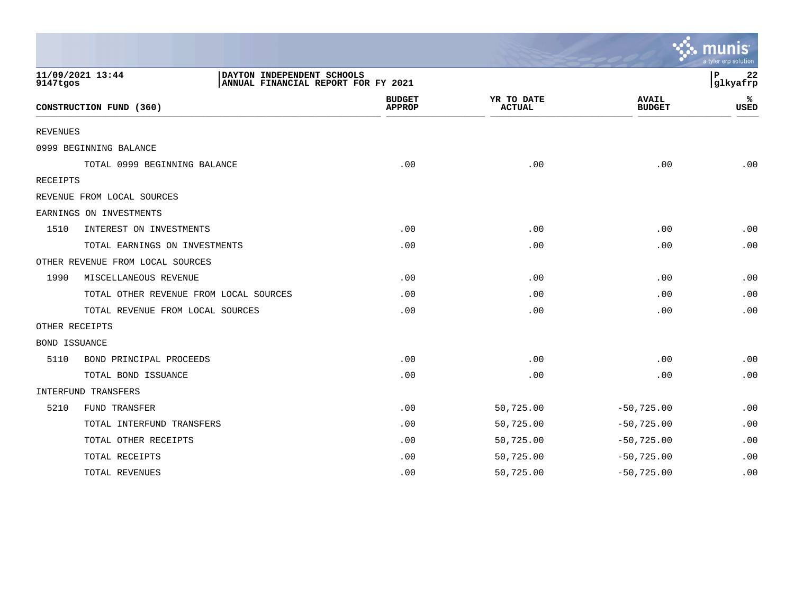|                      |                                                                                       |                                |                             |                               | a tyler erp solution |
|----------------------|---------------------------------------------------------------------------------------|--------------------------------|-----------------------------|-------------------------------|----------------------|
| 9147tgos             | 11/09/2021 13:44<br>DAYTON INDEPENDENT SCHOOLS<br>ANNUAL FINANCIAL REPORT FOR FY 2021 |                                |                             |                               | 22<br>P<br>glkyafrp  |
|                      | CONSTRUCTION FUND (360)                                                               | <b>BUDGET</b><br><b>APPROP</b> | YR TO DATE<br><b>ACTUAL</b> | <b>AVAIL</b><br><b>BUDGET</b> | ℁<br><b>USED</b>     |
| <b>REVENUES</b>      |                                                                                       |                                |                             |                               |                      |
|                      | 0999 BEGINNING BALANCE                                                                |                                |                             |                               |                      |
|                      | TOTAL 0999 BEGINNING BALANCE                                                          | .00                            | .00                         | .00                           | .00                  |
| RECEIPTS             |                                                                                       |                                |                             |                               |                      |
|                      | REVENUE FROM LOCAL SOURCES                                                            |                                |                             |                               |                      |
|                      | EARNINGS ON INVESTMENTS                                                               |                                |                             |                               |                      |
| 1510                 | INTEREST ON INVESTMENTS                                                               | .00                            | .00                         | .00                           | .00                  |
|                      | TOTAL EARNINGS ON INVESTMENTS                                                         | .00                            | .00                         | .00                           | .00                  |
|                      | OTHER REVENUE FROM LOCAL SOURCES                                                      |                                |                             |                               |                      |
| 1990                 | MISCELLANEOUS REVENUE                                                                 | .00                            | .00                         | .00                           | .00                  |
|                      | TOTAL OTHER REVENUE FROM LOCAL SOURCES                                                | .00                            | .00                         | .00                           | .00                  |
|                      | TOTAL REVENUE FROM LOCAL SOURCES                                                      | .00                            | .00                         | .00                           | .00                  |
| OTHER RECEIPTS       |                                                                                       |                                |                             |                               |                      |
| <b>BOND ISSUANCE</b> |                                                                                       |                                |                             |                               |                      |
| 5110                 | BOND PRINCIPAL PROCEEDS                                                               | .00                            | .00                         | .00                           | .00                  |
|                      | TOTAL BOND ISSUANCE                                                                   | .00                            | .00                         | .00                           | .00                  |
|                      | INTERFUND TRANSFERS                                                                   |                                |                             |                               |                      |
| 5210                 | FUND TRANSFER                                                                         | .00                            | 50,725.00                   | $-50,725.00$                  | .00                  |
|                      | TOTAL INTERFUND TRANSFERS                                                             | .00                            | 50,725.00                   | $-50,725.00$                  | .00                  |
|                      | TOTAL OTHER RECEIPTS                                                                  | .00                            | 50,725.00                   | $-50,725.00$                  | .00                  |
|                      | TOTAL RECEIPTS                                                                        | .00                            | 50,725.00                   | $-50,725.00$                  | .00                  |
|                      | TOTAL REVENUES                                                                        | .00                            | 50,725.00                   | $-50, 725.00$                 | .00                  |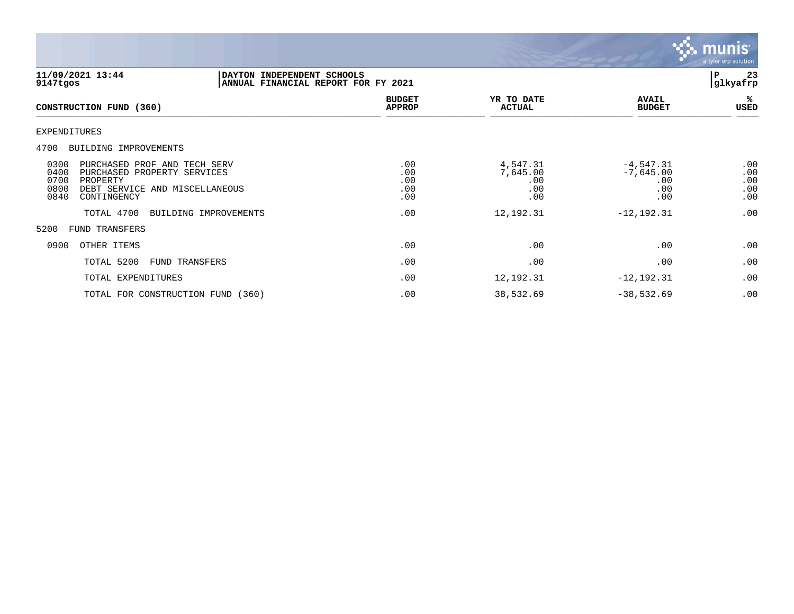

| 11/09/2021 13:44<br>9147tgos                                                                                                                                     | DAYTON INDEPENDENT SCHOOLS<br>ANNUAL FINANCIAL REPORT FOR FY 2021 |                                 |                                           |                                                 | P<br>23<br>glkyafrp             |
|------------------------------------------------------------------------------------------------------------------------------------------------------------------|-------------------------------------------------------------------|---------------------------------|-------------------------------------------|-------------------------------------------------|---------------------------------|
| CONSTRUCTION FUND (360)                                                                                                                                          |                                                                   | <b>BUDGET</b><br><b>APPROP</b>  | YR TO DATE<br><b>ACTUAL</b>               | <b>AVAIL</b><br><b>BUDGET</b>                   | %<br>USED                       |
| EXPENDITURES                                                                                                                                                     |                                                                   |                                 |                                           |                                                 |                                 |
| BUILDING IMPROVEMENTS<br>4700                                                                                                                                    |                                                                   |                                 |                                           |                                                 |                                 |
| 0300<br>PURCHASED PROF AND TECH SERV<br>0400<br>PURCHASED PROPERTY SERVICES<br>0700<br>PROPERTY<br>0800<br>DEBT SERVICE AND MISCELLANEOUS<br>0840<br>CONTINGENCY |                                                                   | .00<br>.00<br>.00<br>.00<br>.00 | 4,547.31<br>7,645.00<br>.00<br>.00<br>.00 | $-4,547.31$<br>$-7,645.00$<br>.00<br>.00<br>.00 | .00<br>.00<br>.00<br>.00<br>.00 |
| TOTAL 4700                                                                                                                                                       | BUILDING IMPROVEMENTS                                             | .00                             | 12,192.31                                 | $-12, 192.31$                                   | .00                             |
| 5200<br>FUND TRANSFERS                                                                                                                                           |                                                                   |                                 |                                           |                                                 |                                 |
| 0900<br>OTHER ITEMS                                                                                                                                              |                                                                   | .00                             | .00                                       | .00                                             | .00                             |
| TOTAL 5200                                                                                                                                                       | <b>FUND TRANSFERS</b>                                             | .00                             | .00                                       | .00                                             | .00                             |
| TOTAL EXPENDITURES                                                                                                                                               |                                                                   | .00                             | 12,192.31                                 | $-12, 192.31$                                   | .00                             |
| TOTAL FOR CONSTRUCTION FUND (360)                                                                                                                                |                                                                   | .00                             | 38,532.69                                 | $-38,532.69$                                    | .00                             |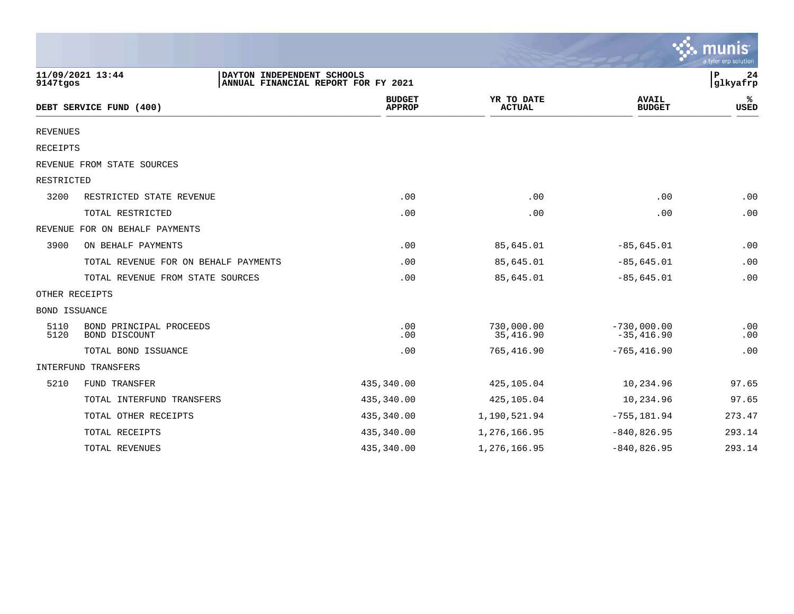|                 |                                                |                                     |                             |                               | $\sim$ munis<br>a tyler erp solution |
|-----------------|------------------------------------------------|-------------------------------------|-----------------------------|-------------------------------|--------------------------------------|
| 9147tgos        | 11/09/2021 13:44<br>DAYTON INDEPENDENT SCHOOLS | ANNUAL FINANCIAL REPORT FOR FY 2021 |                             |                               | P<br>24<br>glkyafrp                  |
|                 | DEBT SERVICE FUND (400)                        | <b>BUDGET</b><br><b>APPROP</b>      | YR TO DATE<br><b>ACTUAL</b> | <b>AVAIL</b><br><b>BUDGET</b> | ℁<br><b>USED</b>                     |
| <b>REVENUES</b> |                                                |                                     |                             |                               |                                      |
| <b>RECEIPTS</b> |                                                |                                     |                             |                               |                                      |
|                 | REVENUE FROM STATE SOURCES                     |                                     |                             |                               |                                      |
| RESTRICTED      |                                                |                                     |                             |                               |                                      |
| 3200            | RESTRICTED STATE REVENUE                       | .00                                 | .00                         | .00                           | .00                                  |
|                 | TOTAL RESTRICTED                               | .00                                 | .00                         | .00                           | .00                                  |
|                 | REVENUE FOR ON BEHALF PAYMENTS                 |                                     |                             |                               |                                      |
| 3900            | ON BEHALF PAYMENTS                             | .00                                 | 85,645.01                   | $-85,645.01$                  | .00                                  |
|                 | TOTAL REVENUE FOR ON BEHALF PAYMENTS           | .00                                 | 85,645.01                   | $-85,645.01$                  | .00                                  |
|                 | TOTAL REVENUE FROM STATE SOURCES               | .00                                 | 85,645.01                   | $-85,645.01$                  | .00                                  |
|                 | OTHER RECEIPTS                                 |                                     |                             |                               |                                      |
| BOND ISSUANCE   |                                                |                                     |                             |                               |                                      |
| 5110<br>5120    | BOND PRINCIPAL PROCEEDS<br>BOND DISCOUNT       | .00<br>.00                          | 730,000.00<br>35,416.90     | $-730,000.00$<br>$-35,416.90$ | .00<br>.00                           |
|                 | TOTAL BOND ISSUANCE                            | .00                                 | 765,416.90                  | $-765, 416.90$                | .00                                  |
|                 | INTERFUND TRANSFERS                            |                                     |                             |                               |                                      |
| 5210            | FUND TRANSFER                                  | 435,340.00                          | 425,105.04                  | 10,234.96                     | 97.65                                |
|                 | TOTAL INTERFUND TRANSFERS                      | 435,340.00                          | 425,105.04                  | 10,234.96                     | 97.65                                |
|                 | TOTAL OTHER RECEIPTS                           | 435,340.00                          | 1,190,521.94                | $-755, 181.94$                | 273.47                               |
|                 | TOTAL RECEIPTS                                 | 435,340.00                          | 1,276,166.95                | $-840, 826.95$                | 293.14                               |
|                 | TOTAL REVENUES                                 | 435,340.00                          | 1,276,166.95                | $-840, 826.95$                | 293.14                               |

 $\sim$   $\sim$   $\sim$   $\sim$   $\sim$   $\sim$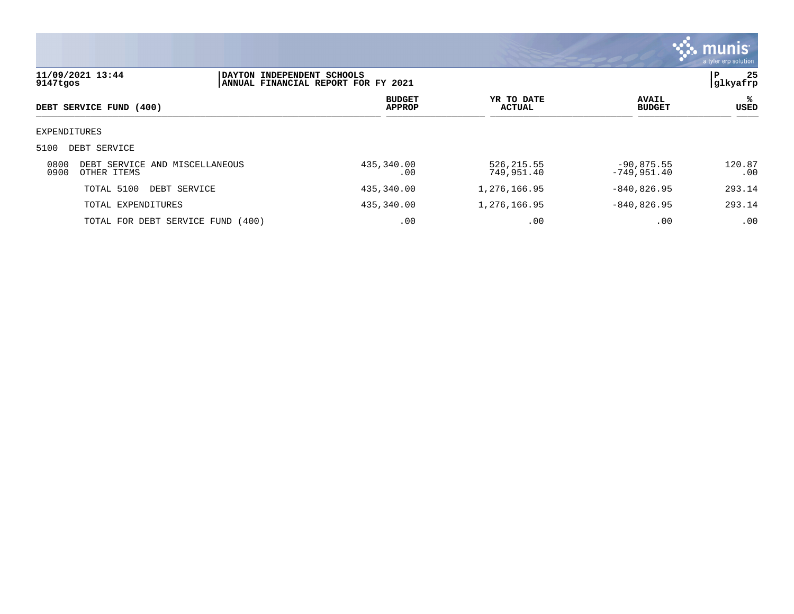

| 11/09/2021 13:44<br>9147tgos |                                               | DAYTON INDEPENDENT SCHOOLS<br>ANNUAL FINANCIAL REPORT FOR FY 2021 |                                |                             |                               | 25<br>P<br> glkyafrp |
|------------------------------|-----------------------------------------------|-------------------------------------------------------------------|--------------------------------|-----------------------------|-------------------------------|----------------------|
|                              | DEBT SERVICE FUND (400)                       |                                                                   | <b>BUDGET</b><br><b>APPROP</b> | YR TO DATE<br><b>ACTUAL</b> | <b>AVAIL</b><br><b>BUDGET</b> | ℁<br><b>USED</b>     |
| EXPENDITURES                 |                                               |                                                                   |                                |                             |                               |                      |
| 5100                         | DEBT SERVICE                                  |                                                                   |                                |                             |                               |                      |
| 0800<br>0900                 | DEBT SERVICE AND MISCELLANEOUS<br>OTHER ITEMS |                                                                   | 435,340.00<br>.00              | 526, 215.55<br>749,951.40   | $-90,875.55$<br>$-749,951.40$ | 120.87<br>.00        |
|                              | TOTAL 5100<br>DEBT SERVICE                    |                                                                   | 435,340.00                     | 1,276,166.95                | $-840, 826.95$                | 293.14               |
|                              | TOTAL EXPENDITURES                            |                                                                   | 435,340.00                     | 1,276,166.95                | $-840, 826.95$                | 293.14               |
|                              | TOTAL FOR DEBT SERVICE FUND (400)             |                                                                   | .00                            | .00                         | .00                           | .00                  |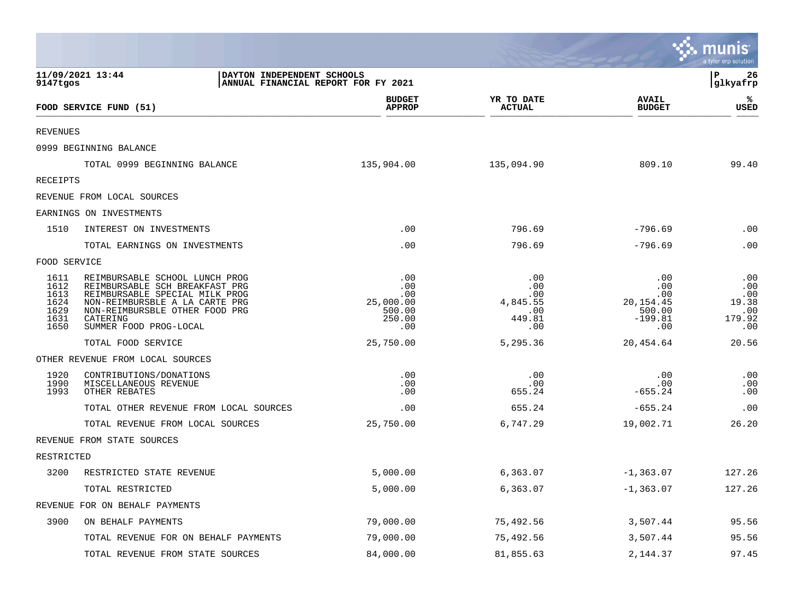|                                                      |                                                                                                                                                                                                              |                                                           |                                                       |                                                              | <u>ः munis</u><br>a tyler erp solution             |
|------------------------------------------------------|--------------------------------------------------------------------------------------------------------------------------------------------------------------------------------------------------------------|-----------------------------------------------------------|-------------------------------------------------------|--------------------------------------------------------------|----------------------------------------------------|
| 9147tgos                                             | 11/09/2021 13:44<br>DAYTON INDEPENDENT SCHOOLS<br>ANNUAL FINANCIAL REPORT FOR FY 2021                                                                                                                        |                                                           |                                                       |                                                              | l P<br>26<br> glkyafrp                             |
|                                                      | FOOD SERVICE FUND (51)                                                                                                                                                                                       | <b>BUDGET</b><br><b>APPROP</b>                            | YR TO DATE<br><b>ACTUAL</b>                           | <b>AVAIL</b><br><b>BUDGET</b>                                | ℁<br><b>USED</b>                                   |
| <b>REVENUES</b>                                      |                                                                                                                                                                                                              |                                                           |                                                       |                                                              |                                                    |
|                                                      | 0999 BEGINNING BALANCE                                                                                                                                                                                       |                                                           |                                                       |                                                              |                                                    |
|                                                      | TOTAL 0999 BEGINNING BALANCE                                                                                                                                                                                 | 135,904.00                                                | 135,094.90                                            | 809.10                                                       | 99.40                                              |
| RECEIPTS                                             |                                                                                                                                                                                                              |                                                           |                                                       |                                                              |                                                    |
|                                                      | REVENUE FROM LOCAL SOURCES                                                                                                                                                                                   |                                                           |                                                       |                                                              |                                                    |
|                                                      | EARNINGS ON INVESTMENTS                                                                                                                                                                                      |                                                           |                                                       |                                                              |                                                    |
| 1510                                                 | INTEREST ON INVESTMENTS                                                                                                                                                                                      | .00                                                       | 796.69                                                | $-796.69$                                                    | .00                                                |
|                                                      | TOTAL EARNINGS ON INVESTMENTS                                                                                                                                                                                | .00                                                       | 796.69                                                | $-796.69$                                                    | .00                                                |
| FOOD SERVICE                                         |                                                                                                                                                                                                              |                                                           |                                                       |                                                              |                                                    |
| 1611<br>1612<br>1613<br>1624<br>1629<br>1631<br>1650 | REIMBURSABLE SCHOOL LUNCH PROG<br>REIMBURSABLE SCH BREAKFAST PRG<br>REIMBURSABLE SPECIAL MILK PROG<br>NON-REIMBURSBLE A LA CARTE PRG<br>NON-REIMBURSBLE OTHER FOOD PRG<br>CATERING<br>SUMMER FOOD PROG-LOCAL | .00<br>.00<br>.00<br>25,000.00<br>500.00<br>250.00<br>.00 | .00<br>.00<br>.00<br>4,845.55<br>.00<br>449.81<br>.00 | .00<br>.00<br>.00<br>20,154.45<br>500.00<br>$-199.81$<br>.00 | .00<br>.00<br>.00<br>19.38<br>.00<br>179.92<br>.00 |
|                                                      | TOTAL FOOD SERVICE                                                                                                                                                                                           | 25,750.00                                                 | 5,295.36                                              | 20,454.64                                                    | 20.56                                              |
|                                                      | OTHER REVENUE FROM LOCAL SOURCES                                                                                                                                                                             |                                                           |                                                       |                                                              |                                                    |
| 1920<br>1990<br>1993                                 | CONTRIBUTIONS/DONATIONS<br>MISCELLANEOUS REVENUE<br>OTHER REBATES                                                                                                                                            | .00<br>.00<br>.00                                         | .00<br>.00<br>655.24                                  | .00<br>.00<br>$-655.24$                                      | .00<br>.00<br>.00                                  |
|                                                      | TOTAL OTHER REVENUE FROM LOCAL SOURCES                                                                                                                                                                       | .00                                                       | 655.24                                                | $-655.24$                                                    | .00                                                |
|                                                      | TOTAL REVENUE FROM LOCAL SOURCES                                                                                                                                                                             | 25,750.00                                                 | 6,747.29                                              | 19,002.71                                                    | 26.20                                              |
|                                                      | REVENUE FROM STATE SOURCES                                                                                                                                                                                   |                                                           |                                                       |                                                              |                                                    |
| RESTRICTED                                           |                                                                                                                                                                                                              |                                                           |                                                       |                                                              |                                                    |
| 3200                                                 | RESTRICTED STATE REVENUE                                                                                                                                                                                     | 5,000.00                                                  | 6,363.07                                              | $-1, 363.07$                                                 | 127.26                                             |
|                                                      | TOTAL RESTRICTED                                                                                                                                                                                             | 5,000.00                                                  | 6,363.07                                              | $-1, 363.07$                                                 | 127.26                                             |
|                                                      | REVENUE FOR ON BEHALF PAYMENTS                                                                                                                                                                               |                                                           |                                                       |                                                              |                                                    |
| 3900                                                 | ON BEHALF PAYMENTS                                                                                                                                                                                           | 79,000.00                                                 | 75,492.56                                             | 3,507.44                                                     | 95.56                                              |
|                                                      | TOTAL REVENUE FOR ON BEHALF PAYMENTS                                                                                                                                                                         | 79,000.00                                                 | 75,492.56                                             | 3,507.44                                                     | 95.56                                              |
|                                                      | TOTAL REVENUE FROM STATE SOURCES                                                                                                                                                                             | 84,000.00                                                 | 81,855.63                                             | 2,144.37                                                     | 97.45                                              |

and the contract of the contract of the contract of the contract of the contract of the contract of the contract of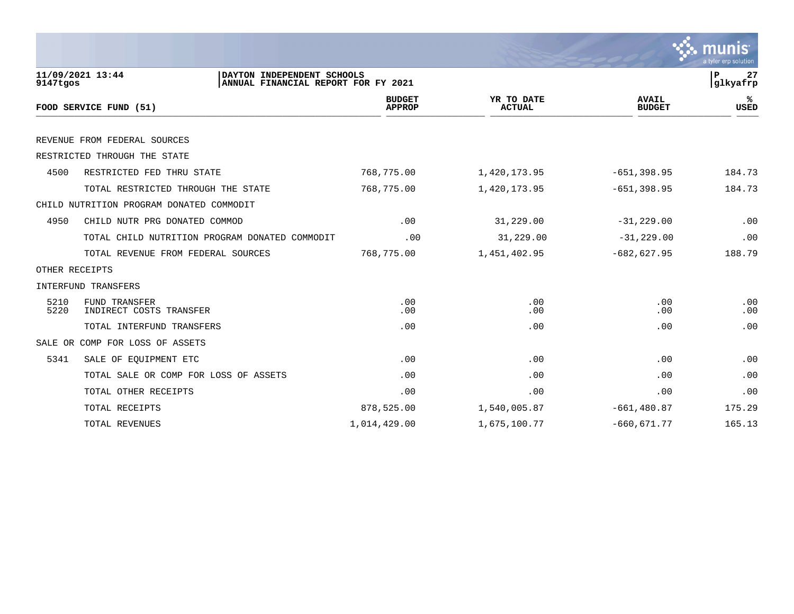|                |                                                                                       |                                |                             |                               | munis<br>a tyler erp solution |
|----------------|---------------------------------------------------------------------------------------|--------------------------------|-----------------------------|-------------------------------|-------------------------------|
| 9147tgos       | 11/09/2021 13:44<br>DAYTON INDEPENDENT SCHOOLS<br>ANNUAL FINANCIAL REPORT FOR FY 2021 |                                |                             |                               | P<br>27<br>glkyafrp           |
|                | FOOD SERVICE FUND (51)                                                                | <b>BUDGET</b><br><b>APPROP</b> | YR TO DATE<br><b>ACTUAL</b> | <b>AVAIL</b><br><b>BUDGET</b> | ℁<br><b>USED</b>              |
|                | REVENUE FROM FEDERAL SOURCES                                                          |                                |                             |                               |                               |
|                | RESTRICTED THROUGH THE STATE                                                          |                                |                             |                               |                               |
| 4500           | RESTRICTED FED THRU STATE                                                             | 768,775.00                     | 1,420,173.95                | $-651, 398.95$                | 184.73                        |
|                | TOTAL RESTRICTED THROUGH THE STATE                                                    | 768,775.00                     | 1,420,173.95                | $-651, 398.95$                | 184.73                        |
|                | CHILD NUTRITION PROGRAM DONATED COMMODIT                                              |                                |                             |                               |                               |
| 4950           | CHILD NUTR PRG DONATED COMMOD                                                         | .00                            | 31,229.00                   | $-31, 229.00$                 | .00                           |
|                | TOTAL CHILD NUTRITION PROGRAM DONATED COMMODIT                                        | .00                            | 31,229.00                   | $-31, 229.00$                 | .00                           |
|                | TOTAL REVENUE FROM FEDERAL SOURCES                                                    | 768,775.00                     | 1,451,402.95                | $-682,627.95$                 | 188.79                        |
| OTHER RECEIPTS |                                                                                       |                                |                             |                               |                               |
|                | INTERFUND TRANSFERS                                                                   |                                |                             |                               |                               |
| 5210<br>5220   | FUND TRANSFER<br>INDIRECT COSTS TRANSFER                                              | .00<br>.00                     | .00<br>.00                  | .00<br>.00                    | .00<br>.00                    |
|                | TOTAL INTERFUND TRANSFERS                                                             | .00                            | .00                         | .00                           | .00                           |
|                | SALE OR COMP FOR LOSS OF ASSETS                                                       |                                |                             |                               |                               |
| 5341           | SALE OF EQUIPMENT ETC                                                                 | .00                            | .00                         | .00                           | .00                           |
|                | TOTAL SALE OR COMP FOR LOSS OF ASSETS                                                 | .00                            | .00                         | .00                           | .00                           |
|                | TOTAL OTHER RECEIPTS                                                                  | .00                            | .00                         | .00                           | .00                           |
|                | TOTAL RECEIPTS                                                                        | 878,525.00                     | 1,540,005.87                | $-661, 480.87$                | 175.29                        |
|                | TOTAL REVENUES                                                                        | 1,014,429.00                   | 1,675,100.77                | $-660, 671.77$                | 165.13                        |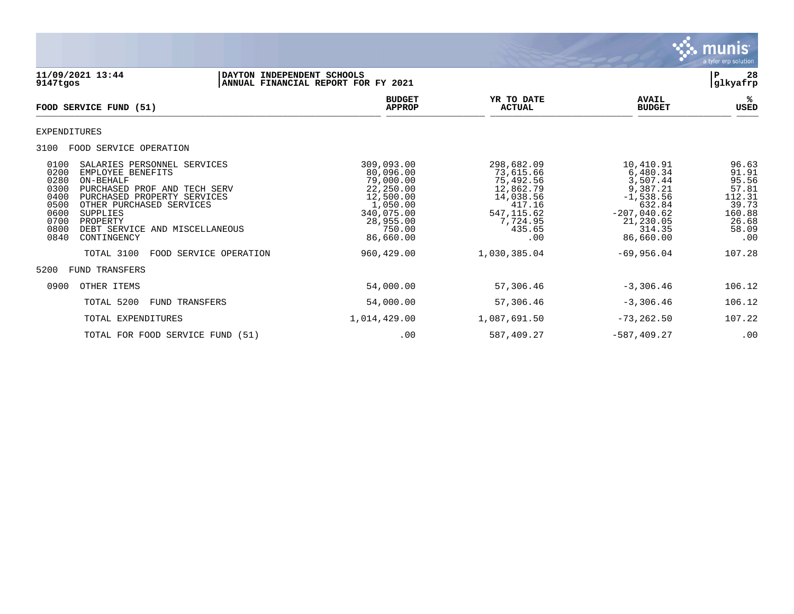

**11/09/2021 13:44 |DAYTON INDEPENDENT SCHOOLS |P 28** ANNUAL FINANCIAL REPORT FOR FY 2021 **BUDGET YR TO DATE AVAIL %**  $FOOD$  **SERVICE FUND** (51)  $\frac{A \text{H} \text{R}}{A \text{H} \text{H} \text{R}}$ EXPENDITURES 3100 FOOD SERVICE OPERATION 0100 SALARIES PERSONNEL SERVICES 309,093.00 298,682.09 10,410.91 96.63 0200 EMPLOYEE BENEFITS 80,096.00 73,615.66 6,480.34 91.91 0280 ON-BEHALF 79,000.00 75,492.56 3,507.44 95.56 0300 PURCHASED PROF AND TECH SERV 22,250.00 12,862.79 9,387.21 57.81<br>0400 PURCHASED PROPERTY SERVICES 12,500.00 14,038.56 -1,538.56 112.31 0400 PURCHASED PROPERTY SERVICES 12,500.00 14,038.56 -1,538.56 112.31 0500 OTHER PURCHASED SERVICES 1,050.00 417.16 632.84 39.73 0600 SUPPLIES 340,075.00 547,115.62 -207,040.62 160.88 0700 PROPERTY 28,955.00 7,724.95 21,230.05 26.68 0800 DEBT SERVICE AND MISCELLANEOUS 750.00 435.65 314.35 58.09 0840 CONTINGENCY TOTAL 3100 FOOD SERVICE OPERATION 960,429.00 1,030,385.04 -69,956.04 107.28 5200 FUND TRANSFERS 0900 OTHER ITEMS 54,000.00 57,306.46 -3,306.46 106.12 TOTAL 5200 FUND TRANSFERS 6 6.12 TOTAL EXPENDITURES 1,014,429.00 1,087,691.50 -73,262.50 107.22 TOTAL FOR FOOD SERVICE FUND (51) .00 .00 587,409.27 -587,409.27 .00 00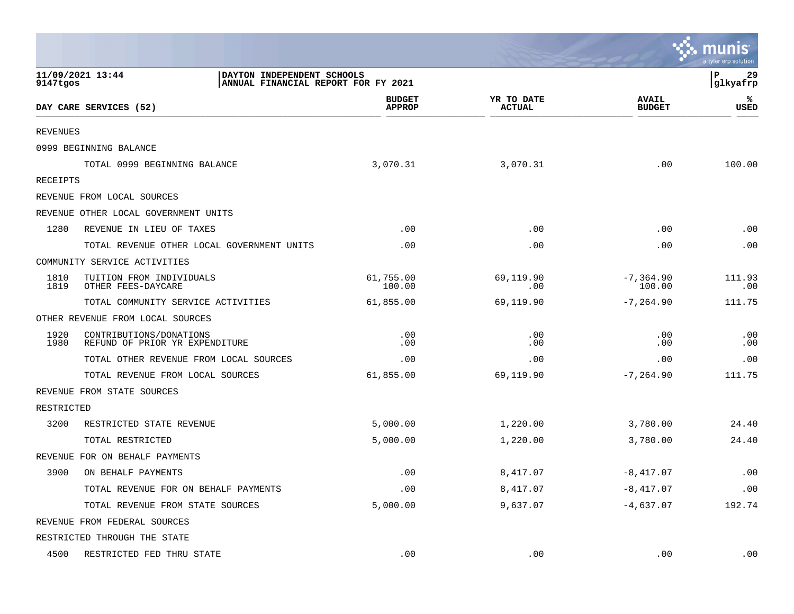|                 |                                                                                       |                                |                             |                               | mu<br>a tyler erp solution |
|-----------------|---------------------------------------------------------------------------------------|--------------------------------|-----------------------------|-------------------------------|----------------------------|
| 9147tgos        | 11/09/2021 13:44<br>DAYTON INDEPENDENT SCHOOLS<br>ANNUAL FINANCIAL REPORT FOR FY 2021 |                                |                             |                               | P<br>29<br>glkyafrp        |
|                 | DAY CARE SERVICES (52)                                                                | <b>BUDGET</b><br><b>APPROP</b> | YR TO DATE<br><b>ACTUAL</b> | <b>AVAIL</b><br><b>BUDGET</b> | ℁<br>USED                  |
| <b>REVENUES</b> |                                                                                       |                                |                             |                               |                            |
|                 | 0999 BEGINNING BALANCE                                                                |                                |                             |                               |                            |
|                 | TOTAL 0999 BEGINNING BALANCE                                                          | 3,070.31                       | 3,070.31                    | .00                           | 100.00                     |
| RECEIPTS        |                                                                                       |                                |                             |                               |                            |
|                 | REVENUE FROM LOCAL SOURCES                                                            |                                |                             |                               |                            |
|                 | REVENUE OTHER LOCAL GOVERNMENT UNITS                                                  |                                |                             |                               |                            |
| 1280            | REVENUE IN LIEU OF TAXES                                                              | .00                            | .00                         | .00                           | .00                        |
|                 | TOTAL REVENUE OTHER LOCAL GOVERNMENT UNITS                                            | .00                            | .00                         | .00                           | .00                        |
|                 | COMMUNITY SERVICE ACTIVITIES                                                          |                                |                             |                               |                            |
| 1810<br>1819    | TUITION FROM INDIVIDUALS<br>OTHER FEES-DAYCARE                                        | 61,755.00<br>100.00            | 69,119.90<br>.00            | $-7, 364.90$<br>100.00        | 111.93<br>.00              |
|                 | TOTAL COMMUNITY SERVICE ACTIVITIES                                                    | 61,855.00                      | 69,119.90                   | $-7, 264.90$                  | 111.75                     |
|                 | OTHER REVENUE FROM LOCAL SOURCES                                                      |                                |                             |                               |                            |
| 1920<br>1980    | CONTRIBUTIONS/DONATIONS<br>REFUND OF PRIOR YR EXPENDITURE                             | .00<br>.00                     | .00<br>.00                  | .00<br>.00                    | .00<br>.00                 |
|                 | TOTAL OTHER REVENUE FROM LOCAL SOURCES                                                | .00                            | .00                         | .00                           | .00                        |
|                 | TOTAL REVENUE FROM LOCAL SOURCES                                                      | 61,855.00                      | 69,119.90                   | $-7, 264.90$                  | 111.75                     |
|                 | REVENUE FROM STATE SOURCES                                                            |                                |                             |                               |                            |
| RESTRICTED      |                                                                                       |                                |                             |                               |                            |
| 3200            | RESTRICTED STATE REVENUE                                                              | 5,000.00                       | 1,220.00                    | 3,780.00                      | 24.40                      |
|                 | TOTAL RESTRICTED                                                                      | 5,000.00                       | 1,220.00                    | 3,780.00                      | 24.40                      |
|                 | REVENUE FOR ON BEHALF PAYMENTS                                                        |                                |                             |                               |                            |
| 3900            | ON BEHALF PAYMENTS                                                                    | .00                            | 8,417.07                    | $-8,417.07$                   | .00                        |
|                 | TOTAL REVENUE FOR ON BEHALF PAYMENTS                                                  | .00                            | 8,417.07                    | $-8,417.07$                   | .00                        |
|                 | TOTAL REVENUE FROM STATE SOURCES                                                      | 5,000.00                       | 9,637.07                    | $-4,637.07$                   | 192.74                     |
|                 | REVENUE FROM FEDERAL SOURCES                                                          |                                |                             |                               |                            |
|                 | RESTRICTED THROUGH THE STATE                                                          |                                |                             |                               |                            |
| 4500            | RESTRICTED FED THRU STATE                                                             | .00                            | .00                         | .00                           | .00                        |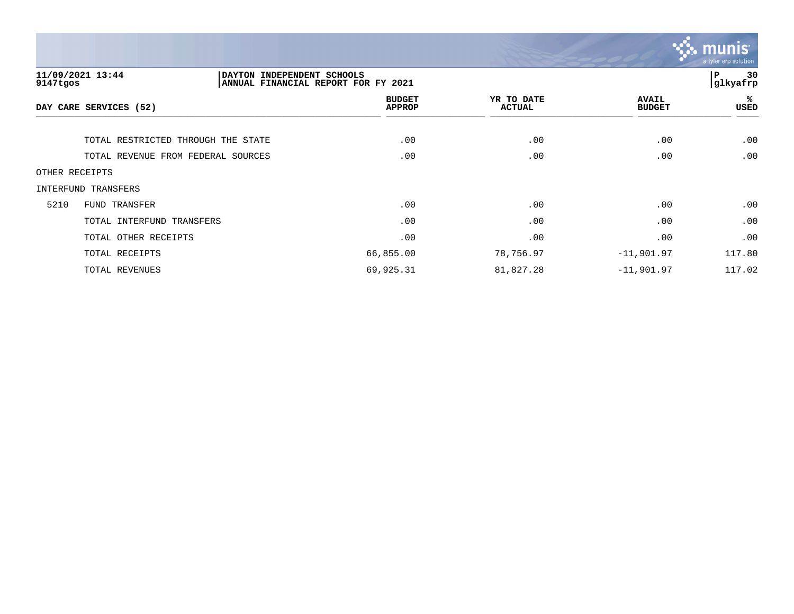

| 9147tgos               | 11/09/2021 13:44<br>DAYTON INDEPENDENT SCHOOLS | ANNUAL FINANCIAL REPORT FOR FY 2021 |                             |                               | 30<br>ΙP<br> glkyafrp |
|------------------------|------------------------------------------------|-------------------------------------|-----------------------------|-------------------------------|-----------------------|
| DAY CARE SERVICES (52) |                                                | <b>BUDGET</b><br><b>APPROP</b>      | YR TO DATE<br><b>ACTUAL</b> | <b>AVAIL</b><br><b>BUDGET</b> | %ะ<br>USED            |
|                        | TOTAL RESTRICTED THROUGH THE STATE             | .00                                 | .00                         | .00                           | .00                   |
|                        | TOTAL REVENUE FROM FEDERAL SOURCES             | .00                                 | .00                         | .00                           | .00                   |
| OTHER RECEIPTS         |                                                |                                     |                             |                               |                       |
|                        | INTERFUND TRANSFERS                            |                                     |                             |                               |                       |
| 5210                   | FUND TRANSFER                                  | .00                                 | .00                         | .00                           | .00                   |
|                        | TOTAL INTERFUND TRANSFERS                      | .00                                 | .00                         | .00                           | .00                   |
|                        | TOTAL OTHER RECEIPTS                           | .00                                 | .00                         | .00                           | .00                   |
|                        | TOTAL RECEIPTS                                 | 66,855.00                           | 78,756.97                   | $-11,901.97$                  | 117.80                |
|                        | TOTAL REVENUES                                 | 69,925.31                           | 81,827.28                   | $-11,901.97$                  | 117.02                |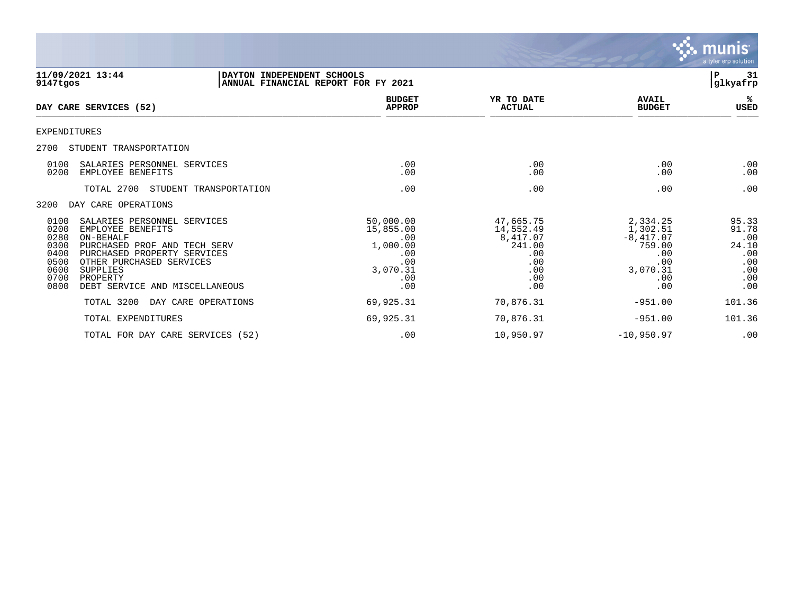

| 11/09/2021 13:44<br>9147tgos                                                                                                                                                                                                                                                               | DAYTON INDEPENDENT SCHOOLS<br>ANNUAL FINANCIAL REPORT FOR FY 2021                 |                                                                                 |                                                                                       | 31<br>Р<br>glkyafrp                                               |
|--------------------------------------------------------------------------------------------------------------------------------------------------------------------------------------------------------------------------------------------------------------------------------------------|-----------------------------------------------------------------------------------|---------------------------------------------------------------------------------|---------------------------------------------------------------------------------------|-------------------------------------------------------------------|
| DAY CARE SERVICES (52)                                                                                                                                                                                                                                                                     | <b>BUDGET</b><br><b>APPROP</b>                                                    | YR TO DATE<br><b>ACTUAL</b>                                                     | <b>AVAIL</b><br><b>BUDGET</b>                                                         | ℁<br>USED                                                         |
| EXPENDITURES                                                                                                                                                                                                                                                                               |                                                                                   |                                                                                 |                                                                                       |                                                                   |
| 2700<br>STUDENT TRANSPORTATION                                                                                                                                                                                                                                                             |                                                                                   |                                                                                 |                                                                                       |                                                                   |
| 0100<br>SALARIES PERSONNEL SERVICES<br>0200<br>EMPLOYEE BENEFITS                                                                                                                                                                                                                           | .00<br>.00                                                                        | .00<br>.00                                                                      | .00<br>.00                                                                            | .00<br>.00                                                        |
| TOTAL 2700<br>STUDENT TRANSPORTATION                                                                                                                                                                                                                                                       | .00                                                                               | .00                                                                             | .00                                                                                   | .00                                                               |
| 3200<br>DAY CARE OPERATIONS                                                                                                                                                                                                                                                                |                                                                                   |                                                                                 |                                                                                       |                                                                   |
| 0100<br>SALARIES PERSONNEL SERVICES<br>0200<br>EMPLOYEE BENEFITS<br>0280<br>ON-BEHALF<br>0300<br>PURCHASED PROF AND TECH SERV<br>0400<br>PURCHASED PROPERTY SERVICES<br>0500<br>OTHER PURCHASED SERVICES<br>0600<br>SUPPLIES<br>0700<br>PROPERTY<br>0800<br>DEBT SERVICE AND MISCELLANEOUS | 50,000.00<br>15,855.00<br>.00<br>1,000.00<br>.00<br>.00<br>3,070.31<br>.00<br>.00 | 47,665.75<br>14,552.49<br>8,417.07<br>241.00<br>.00<br>.00<br>.00<br>.00<br>.00 | 2,334.25<br>1,302.51<br>$-8,417.07$<br>759.00<br>.00<br>.00<br>3,070.31<br>.00<br>.00 | 95.33<br>91.78<br>.00<br>24.10<br>.00<br>.00<br>.00<br>.00<br>.00 |
| TOTAL 3200<br>DAY CARE OPERATIONS                                                                                                                                                                                                                                                          | 69,925.31                                                                         | 70,876.31                                                                       | $-951.00$                                                                             | 101.36                                                            |
| TOTAL EXPENDITURES                                                                                                                                                                                                                                                                         | 69,925.31                                                                         | 70,876.31                                                                       | $-951.00$                                                                             | 101.36                                                            |
| TOTAL FOR DAY CARE SERVICES (52)                                                                                                                                                                                                                                                           | .00                                                                               | 10,950.97                                                                       | $-10,950.97$                                                                          | .00                                                               |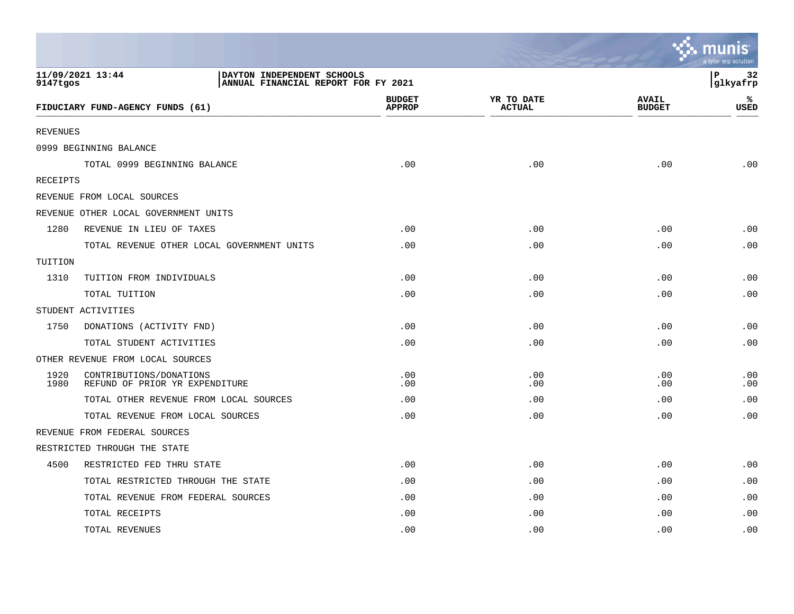|                 |                                                                                       |                                |                             |                               | a tyler erp solution  |
|-----------------|---------------------------------------------------------------------------------------|--------------------------------|-----------------------------|-------------------------------|-----------------------|
| 9147tgos        | 11/09/2021 13:44<br>DAYTON INDEPENDENT SCHOOLS<br>ANNUAL FINANCIAL REPORT FOR FY 2021 |                                |                             |                               | l P<br>32<br>glkyafrp |
|                 | FIDUCIARY FUND-AGENCY FUNDS (61)                                                      | <b>BUDGET</b><br><b>APPROP</b> | YR TO DATE<br><b>ACTUAL</b> | <b>AVAIL</b><br><b>BUDGET</b> | ℁<br><b>USED</b>      |
| <b>REVENUES</b> |                                                                                       |                                |                             |                               |                       |
|                 | 0999 BEGINNING BALANCE                                                                |                                |                             |                               |                       |
|                 | TOTAL 0999 BEGINNING BALANCE                                                          | .00                            | .00                         | .00                           | .00                   |
| <b>RECEIPTS</b> |                                                                                       |                                |                             |                               |                       |
|                 | REVENUE FROM LOCAL SOURCES                                                            |                                |                             |                               |                       |
|                 | REVENUE OTHER LOCAL GOVERNMENT UNITS                                                  |                                |                             |                               |                       |
| 1280            | REVENUE IN LIEU OF TAXES                                                              | .00                            | .00                         | .00                           | .00                   |
|                 | TOTAL REVENUE OTHER LOCAL GOVERNMENT UNITS                                            | .00                            | .00                         | .00                           | .00                   |
| TUITION         |                                                                                       |                                |                             |                               |                       |
| 1310            | TUITION FROM INDIVIDUALS                                                              | .00                            | .00                         | .00                           | .00                   |
|                 | TOTAL TUITION                                                                         | .00                            | .00                         | .00                           | .00                   |
|                 | STUDENT ACTIVITIES                                                                    |                                |                             |                               |                       |
| 1750            | DONATIONS (ACTIVITY FND)                                                              | .00                            | .00                         | .00                           | .00                   |
|                 | TOTAL STUDENT ACTIVITIES                                                              | .00                            | .00                         | .00                           | .00                   |
|                 | OTHER REVENUE FROM LOCAL SOURCES                                                      |                                |                             |                               |                       |
| 1920<br>1980    | CONTRIBUTIONS/DONATIONS<br>REFUND OF PRIOR YR EXPENDITURE                             | .00<br>.00                     | .00<br>.00                  | .00<br>.00                    | .00<br>.00            |
|                 | TOTAL OTHER REVENUE FROM LOCAL SOURCES                                                | .00                            | .00                         | .00                           | .00                   |
|                 | TOTAL REVENUE FROM LOCAL SOURCES                                                      | .00                            | .00                         | .00                           | .00                   |
|                 | REVENUE FROM FEDERAL SOURCES                                                          |                                |                             |                               |                       |
|                 | RESTRICTED THROUGH THE STATE                                                          |                                |                             |                               |                       |
| 4500            | RESTRICTED FED THRU STATE                                                             | .00                            | .00                         | .00                           | .00                   |
|                 | TOTAL RESTRICTED THROUGH THE STATE                                                    | .00                            | .00                         | .00                           | .00                   |
|                 | TOTAL REVENUE FROM FEDERAL SOURCES                                                    | .00                            | .00                         | .00                           | .00                   |
|                 | TOTAL RECEIPTS                                                                        | .00                            | .00                         | .00                           | .00                   |
|                 | TOTAL REVENUES                                                                        | .00                            | .00                         | .00                           | .00                   |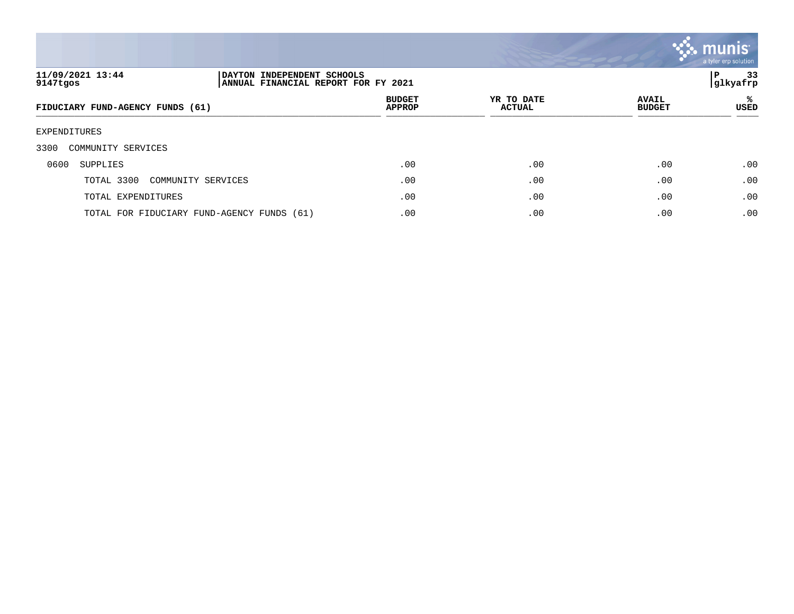

| 11/09/2021 13:44<br>9147tgos     | DAYTON INDEPENDENT SCHOOLS<br>ANNUAL FINANCIAL REPORT FOR FY 2021 |                                |                             |                               | 33<br>Р<br> glkyafrp |
|----------------------------------|-------------------------------------------------------------------|--------------------------------|-----------------------------|-------------------------------|----------------------|
| FIDUCIARY FUND-AGENCY FUNDS (61) |                                                                   | <b>BUDGET</b><br><b>APPROP</b> | YR TO DATE<br><b>ACTUAL</b> | <b>AVAIL</b><br><b>BUDGET</b> | ႜ<br>USED            |
| EXPENDITURES                     |                                                                   |                                |                             |                               |                      |
| 3300<br>COMMUNITY SERVICES       |                                                                   |                                |                             |                               |                      |
| 0600<br>SUPPLIES                 |                                                                   | .00                            | .00                         | .00                           | .00                  |
| TOTAL 3300                       | COMMUNITY SERVICES                                                | .00                            | .00                         | .00                           | .00                  |
| TOTAL EXPENDITURES               |                                                                   | .00                            | .00                         | .00                           | .00                  |
|                                  | TOTAL FOR FIDUCIARY FUND-AGENCY FUNDS (61)                        | .00                            | .00                         | .00                           | .00                  |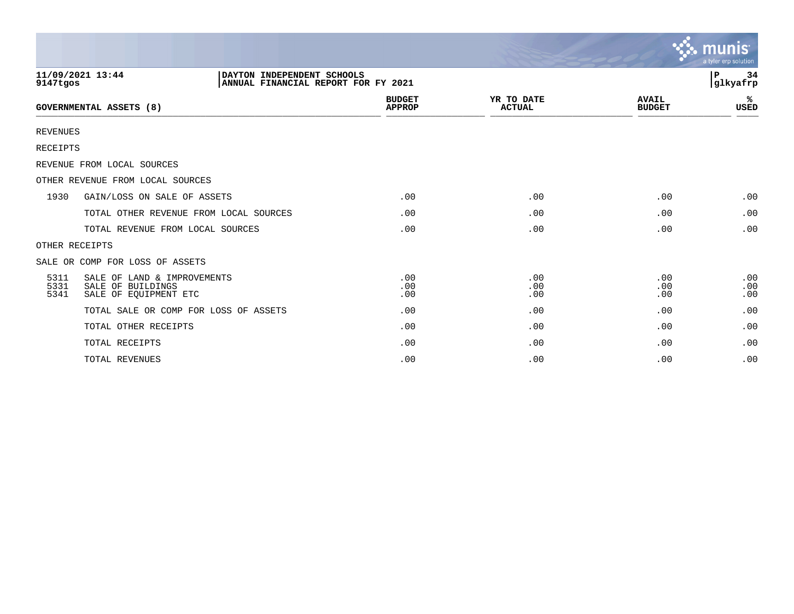|                      |                                                                                       |                                |                             |                               | munis<br>a tyler erp solution |
|----------------------|---------------------------------------------------------------------------------------|--------------------------------|-----------------------------|-------------------------------|-------------------------------|
| 9147tgos             | 11/09/2021 13:44<br>DAYTON INDEPENDENT SCHOOLS<br>ANNUAL FINANCIAL REPORT FOR FY 2021 |                                |                             |                               | 34<br>P.<br>glkyafrp          |
|                      | <b>GOVERNMENTAL ASSETS (8)</b>                                                        | <b>BUDGET</b><br><b>APPROP</b> | YR TO DATE<br><b>ACTUAL</b> | <b>AVAIL</b><br><b>BUDGET</b> | %<br><b>USED</b>              |
| <b>REVENUES</b>      |                                                                                       |                                |                             |                               |                               |
| <b>RECEIPTS</b>      |                                                                                       |                                |                             |                               |                               |
|                      | REVENUE FROM LOCAL SOURCES                                                            |                                |                             |                               |                               |
|                      | OTHER REVENUE FROM LOCAL SOURCES                                                      |                                |                             |                               |                               |
| 1930                 | GAIN/LOSS ON SALE OF ASSETS                                                           | .00                            | .00                         | .00                           | .00                           |
|                      | TOTAL OTHER REVENUE FROM LOCAL SOURCES                                                | .00                            | .00                         | .00                           | .00                           |
|                      | TOTAL REVENUE FROM LOCAL SOURCES                                                      | .00                            | .00                         | .00                           | .00                           |
|                      | OTHER RECEIPTS                                                                        |                                |                             |                               |                               |
|                      | SALE OR COMP FOR LOSS OF ASSETS                                                       |                                |                             |                               |                               |
| 5311<br>5331<br>5341 | SALE OF LAND & IMPROVEMENTS<br>SALE OF BUILDINGS<br>SALE OF EQUIPMENT ETC             | .00<br>.00<br>.00              | .00<br>.00<br>.00           | .00<br>.00<br>.00             | .00<br>.00<br>.00             |
|                      | TOTAL SALE OR COMP FOR LOSS OF ASSETS                                                 | .00                            | .00                         | .00                           | .00                           |
|                      | TOTAL OTHER RECEIPTS                                                                  | .00                            | .00                         | .00                           | .00                           |
|                      | TOTAL RECEIPTS                                                                        | .00                            | .00                         | .00                           | .00                           |
|                      | TOTAL REVENUES                                                                        | .00                            | .00                         | .00                           | .00                           |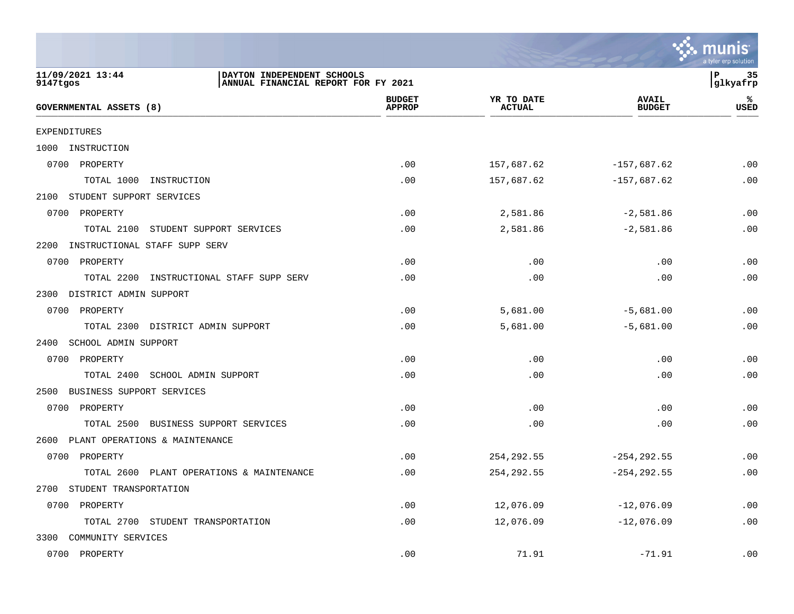|                                                                                                   |                                |                             |                               | a tyler erp solution |
|---------------------------------------------------------------------------------------------------|--------------------------------|-----------------------------|-------------------------------|----------------------|
| 11/09/2021 13:44<br>DAYTON INDEPENDENT SCHOOLS<br>9147tgos<br>ANNUAL FINANCIAL REPORT FOR FY 2021 |                                |                             |                               | P<br>35<br>glkyafrp  |
| GOVERNMENTAL ASSETS (8)                                                                           | <b>BUDGET</b><br><b>APPROP</b> | YR TO DATE<br><b>ACTUAL</b> | <b>AVAIL</b><br><b>BUDGET</b> | ℁<br><b>USED</b>     |
| EXPENDITURES                                                                                      |                                |                             |                               |                      |
| INSTRUCTION<br>1000                                                                               |                                |                             |                               |                      |
| 0700 PROPERTY                                                                                     | .00                            | 157,687.62                  | $-157,687.62$                 | .00                  |
| TOTAL 1000<br>INSTRUCTION                                                                         | .00                            | 157,687.62                  | $-157,687.62$                 | .00                  |
| STUDENT SUPPORT SERVICES<br>2100                                                                  |                                |                             |                               |                      |
| 0700 PROPERTY                                                                                     | .00                            | 2,581.86                    | $-2,581.86$                   | .00                  |
| TOTAL 2100<br>STUDENT SUPPORT SERVICES                                                            | .00                            | 2,581.86                    | $-2,581.86$                   | .00                  |
| 2200<br>INSTRUCTIONAL STAFF SUPP SERV                                                             |                                |                             |                               |                      |
| 0700 PROPERTY                                                                                     | .00                            | .00                         | .00                           | .00                  |
| TOTAL 2200<br>INSTRUCTIONAL STAFF SUPP SERV                                                       | .00                            | .00                         | .00                           | .00                  |
| DISTRICT ADMIN SUPPORT<br>2300                                                                    |                                |                             |                               |                      |
| 0700 PROPERTY                                                                                     | .00                            | 5,681.00                    | $-5,681.00$                   | .00                  |
| TOTAL 2300 DISTRICT ADMIN SUPPORT                                                                 | .00                            | 5,681.00                    | $-5,681.00$                   | .00                  |
| SCHOOL ADMIN SUPPORT<br>2400                                                                      |                                |                             |                               |                      |
| 0700 PROPERTY                                                                                     | .00                            | .00                         | .00                           | .00                  |
| TOTAL 2400<br>SCHOOL ADMIN SUPPORT                                                                | .00                            | .00                         | .00                           | .00                  |
| BUSINESS SUPPORT SERVICES<br>2500                                                                 |                                |                             |                               |                      |
| 0700 PROPERTY                                                                                     | .00                            | .00                         | .00                           | .00                  |
| TOTAL 2500 BUSINESS SUPPORT SERVICES                                                              | .00                            | .00                         | .00                           | .00                  |
| PLANT OPERATIONS & MAINTENANCE<br>2600                                                            |                                |                             |                               |                      |
| 0700<br>PROPERTY                                                                                  | .00                            | 254, 292.55                 | $-254, 292.55$                | .00                  |
| TOTAL 2600 PLANT OPERATIONS & MAINTENANCE                                                         | .00                            | 254,292.55                  | $-254, 292.55$                | .00                  |
| 2700 STUDENT TRANSPORTATION                                                                       |                                |                             |                               |                      |
| 0700 PROPERTY                                                                                     | .00                            | 12,076.09                   | $-12,076.09$                  | .00                  |
| TOTAL 2700 STUDENT TRANSPORTATION                                                                 | .00                            | 12,076.09                   | $-12,076.09$                  | .00                  |
| 3300 COMMUNITY SERVICES                                                                           |                                |                             |                               |                      |
| 0700 PROPERTY                                                                                     | .00                            | 71.91                       | $-71.91$                      | .00                  |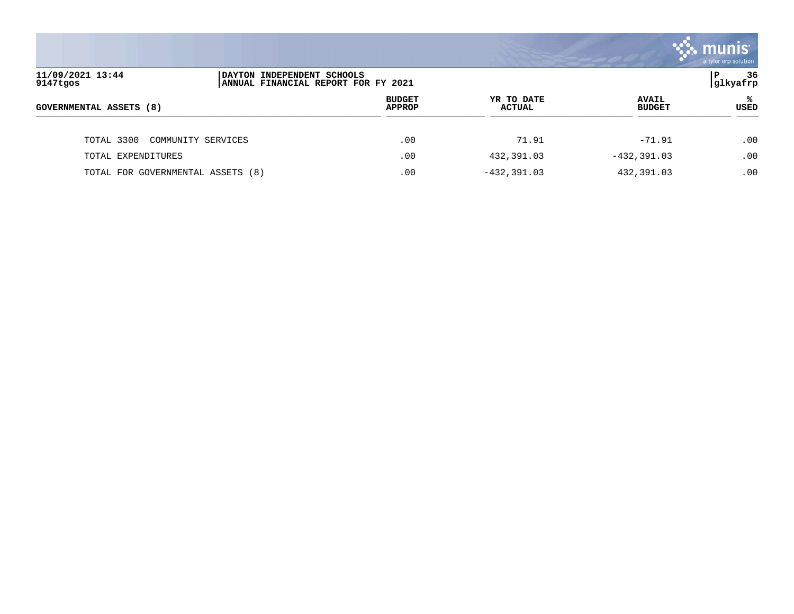

| 11/09/2021 13:44<br>9147tgos      | DAYTON INDEPENDENT SCHOOLS<br>ANNUAL FINANCIAL REPORT FOR FY 2021 |                                |                      |                               | 36<br>P<br>glkyafrp |
|-----------------------------------|-------------------------------------------------------------------|--------------------------------|----------------------|-------------------------------|---------------------|
| GOVERNMENTAL ASSETS (8)           |                                                                   | <b>BUDGET</b><br><b>APPROP</b> | YR TO DATE<br>ACTUAL | <b>AVAIL</b><br><b>BUDGET</b> | ℁<br><b>USED</b>    |
| TOTAL 3300<br>COMMUNITY SERVICES  |                                                                   | .00                            | 71.91                | $-71.91$                      | .00                 |
| TOTAL EXPENDITURES                |                                                                   | .00                            | 432,391.03           | $-432, 391.03$                | .00                 |
| TOTAL FOR GOVERNMENTAL ASSETS (8) |                                                                   | .00                            | $-432, 391.03$       | 432,391.03                    | .00                 |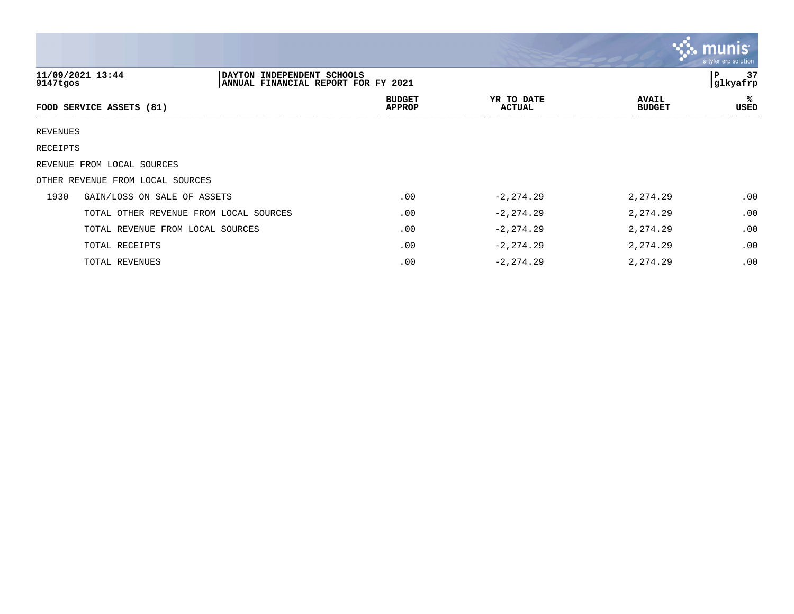|                 |                                                                                       |                                |                             |                               | munis<br>a tyler erp solution |
|-----------------|---------------------------------------------------------------------------------------|--------------------------------|-----------------------------|-------------------------------|-------------------------------|
| 9147tgos        | 11/09/2021 13:44<br>DAYTON INDEPENDENT SCHOOLS<br>ANNUAL FINANCIAL REPORT FOR FY 2021 |                                |                             |                               | 37<br>P<br>glkyafrp           |
|                 | FOOD SERVICE ASSETS (81)                                                              | <b>BUDGET</b><br><b>APPROP</b> | YR TO DATE<br><b>ACTUAL</b> | <b>AVAIL</b><br><b>BUDGET</b> | ℁<br>USED                     |
| <b>REVENUES</b> |                                                                                       |                                |                             |                               |                               |
| RECEIPTS        |                                                                                       |                                |                             |                               |                               |
|                 | REVENUE FROM LOCAL SOURCES                                                            |                                |                             |                               |                               |
|                 | OTHER REVENUE FROM LOCAL SOURCES                                                      |                                |                             |                               |                               |
| 1930            | GAIN/LOSS ON SALE OF ASSETS                                                           | .00                            | $-2, 274.29$                | 2,274.29                      | .00                           |
|                 | TOTAL OTHER REVENUE FROM LOCAL SOURCES                                                | .00                            | $-2, 274.29$                | 2,274.29                      | .00.                          |
|                 | TOTAL REVENUE FROM LOCAL SOURCES                                                      | .00                            | $-2, 274.29$                | 2,274.29                      | .00                           |
|                 | TOTAL RECEIPTS                                                                        | .00                            | $-2, 274.29$                | 2,274.29                      | .00                           |
|                 | TOTAL REVENUES                                                                        | .00                            | $-2, 274.29$                | 2,274.29                      | .00                           |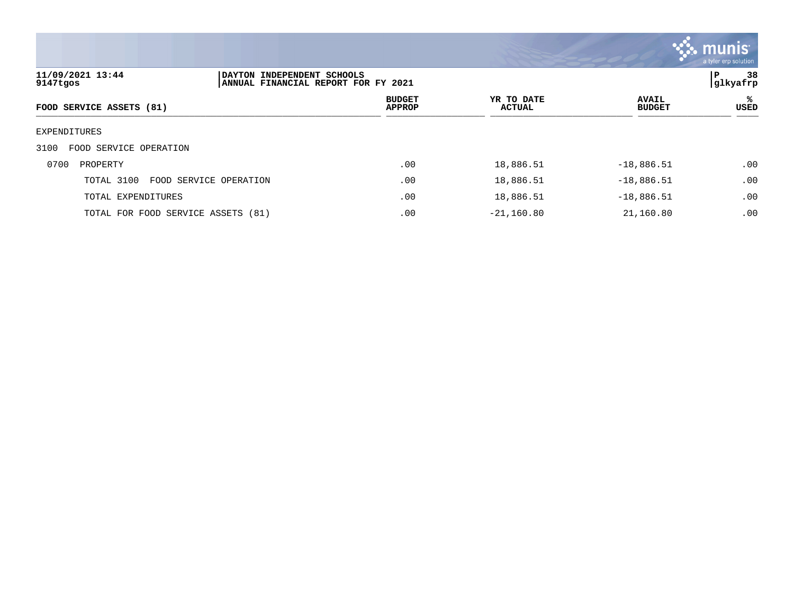

| 11/09/2021 13:44<br>9147tgos       | DAYTON                 | INDEPENDENT SCHOOLS<br>ANNUAL FINANCIAL REPORT FOR FY 2021 |                             |                               |           |  |
|------------------------------------|------------------------|------------------------------------------------------------|-----------------------------|-------------------------------|-----------|--|
| FOOD SERVICE ASSETS (81)           |                        | <b>BUDGET</b><br><b>APPROP</b>                             | YR TO DATE<br><b>ACTUAL</b> | <b>AVAIL</b><br><b>BUDGET</b> | ℁<br>USED |  |
| EXPENDITURES                       |                        |                                                            |                             |                               |           |  |
| FOOD SERVICE OPERATION<br>3100     |                        |                                                            |                             |                               |           |  |
| 0700<br>PROPERTY                   |                        | .00                                                        | 18,886.51                   | $-18,886.51$                  | .00       |  |
| TOTAL 3100                         | FOOD SERVICE OPERATION | .00                                                        | 18,886.51                   | $-18,886.51$                  | .00       |  |
| TOTAL EXPENDITURES                 |                        | .00                                                        | 18,886.51                   | $-18,886.51$                  | .00       |  |
| TOTAL FOR FOOD SERVICE ASSETS (81) |                        | .00                                                        | $-21, 160.80$               | 21,160.80                     | .00       |  |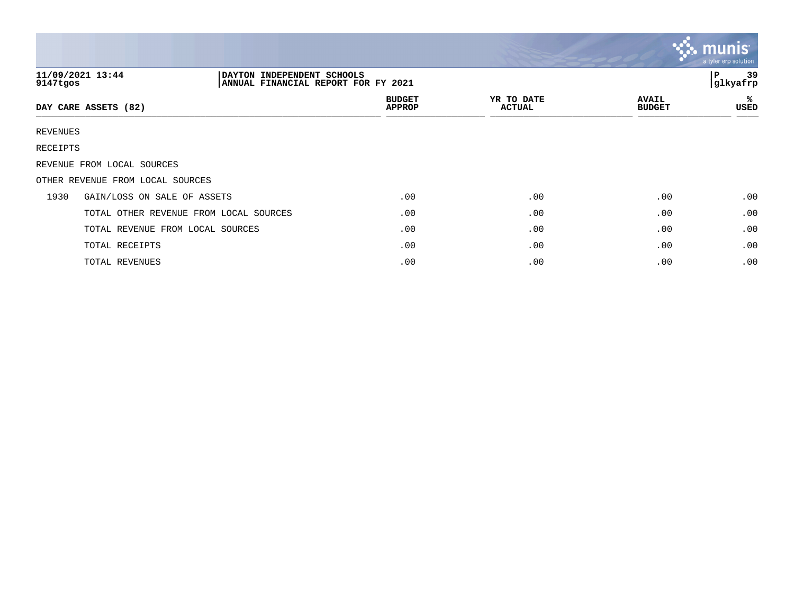|          |                                                                                       |                                |                             |                               | <b>S.S. MUNIST</b><br>a tyler erp solution |
|----------|---------------------------------------------------------------------------------------|--------------------------------|-----------------------------|-------------------------------|--------------------------------------------|
| 9147tgos | 11/09/2021 13:44<br>DAYTON INDEPENDENT SCHOOLS<br>ANNUAL FINANCIAL REPORT FOR FY 2021 |                                |                             |                               | 39<br>l P<br>glkyafrp                      |
|          | DAY CARE ASSETS (82)                                                                  | <b>BUDGET</b><br><b>APPROP</b> | YR TO DATE<br><b>ACTUAL</b> | <b>AVAIL</b><br><b>BUDGET</b> | ℁<br>USED                                  |
| REVENUES |                                                                                       |                                |                             |                               |                                            |
| RECEIPTS |                                                                                       |                                |                             |                               |                                            |
|          | REVENUE FROM LOCAL SOURCES                                                            |                                |                             |                               |                                            |
|          | OTHER REVENUE FROM LOCAL SOURCES                                                      |                                |                             |                               |                                            |
| 1930     | GAIN/LOSS ON SALE OF ASSETS                                                           | .00                            | .00                         | .00                           | .00                                        |
|          | TOTAL OTHER REVENUE FROM LOCAL SOURCES                                                | .00                            | .00                         | .00                           | .00                                        |
|          | TOTAL REVENUE FROM LOCAL SOURCES                                                      | .00                            | .00                         | .00                           | .00                                        |
|          | TOTAL RECEIPTS                                                                        | .00                            | .00                         | .00                           | .00                                        |
|          | TOTAL REVENUES                                                                        | .00                            | .00                         | .00                           | .00                                        |

the contract of the contract of the contract of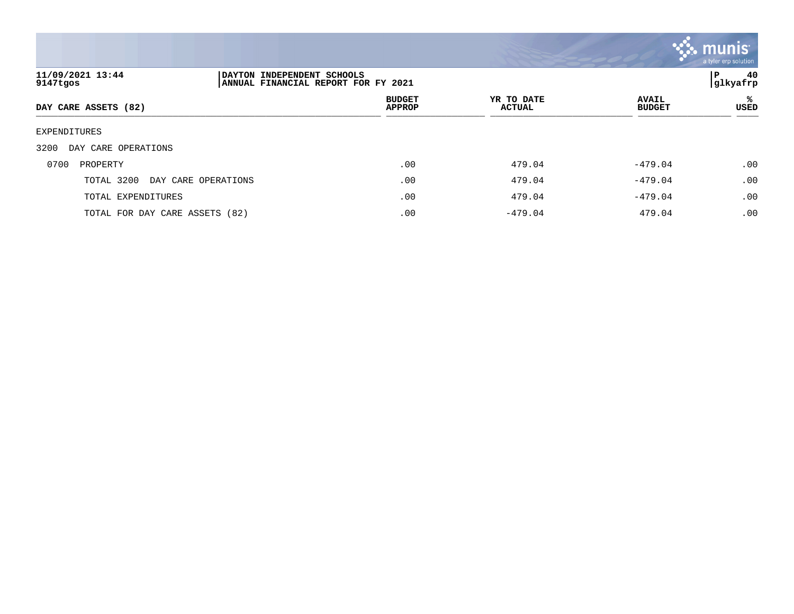

| 11/09/2021 13:44<br>9147tgos   |                     | P<br>DAYTON INDEPENDENT SCHOOLS<br>glkyafrp<br> ANNUAL FINANCIAL REPORT FOR FY 2021 |                             |                               |           |  |
|--------------------------------|---------------------|-------------------------------------------------------------------------------------|-----------------------------|-------------------------------|-----------|--|
| DAY CARE ASSETS (82)           |                     | <b>BUDGET</b><br><b>APPROP</b>                                                      | YR TO DATE<br><b>ACTUAL</b> | <b>AVAIL</b><br><b>BUDGET</b> | ℁<br>USED |  |
| EXPENDITURES                   |                     |                                                                                     |                             |                               |           |  |
| 3200<br>DAY CARE OPERATIONS    |                     |                                                                                     |                             |                               |           |  |
| 0700<br>PROPERTY               |                     | .00                                                                                 | 479.04                      | $-479.04$                     | .00       |  |
| TOTAL 3200                     | DAY CARE OPERATIONS | .00                                                                                 | 479.04                      | $-479.04$                     | .00       |  |
| TOTAL EXPENDITURES             |                     | .00                                                                                 | 479.04                      | $-479.04$                     | .00       |  |
| TOTAL FOR DAY CARE ASSETS (82) |                     | .00                                                                                 | $-479.04$                   | 479.04                        | .00       |  |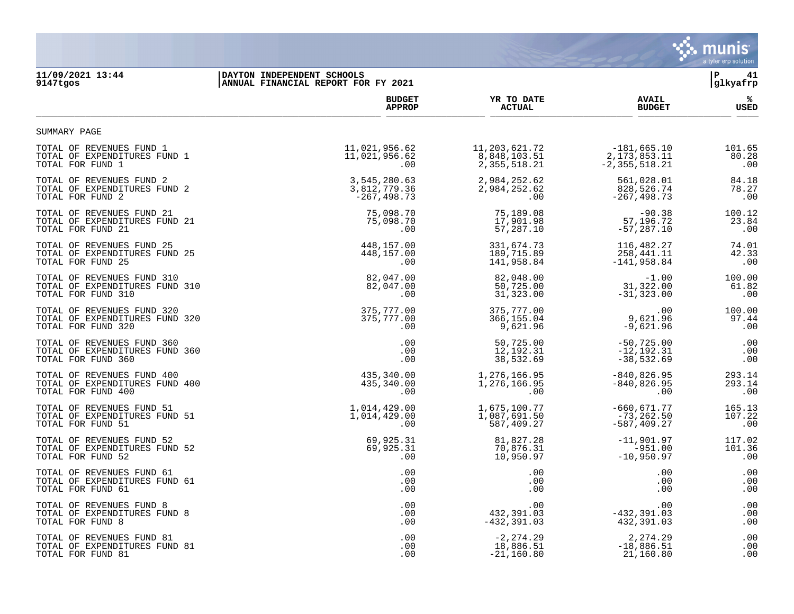

## **11/09/2021 13:44 |DAYTON INDEPENDENT SCHOOLS |P 41 9147tgos |ANNUAL FINANCIAL REPORT FOR FY 2021 |glkyafrp**

|                                | <b>BUDGET</b>  | YR TO DATE       | <b>AVAIL</b>      | ℁           |
|--------------------------------|----------------|------------------|-------------------|-------------|
|                                | <b>APPROP</b>  | <b>ACTUAL</b>    | <b>BUDGET</b>     | <b>USED</b> |
| SUMMARY PAGE                   |                |                  |                   |             |
| TOTAL OF REVENUES FUND 1       | 11,021,956.62  | 11, 203, 621. 72 | $-181,665.10$     | 101.65      |
| TOTAL OF EXPENDITURES FUND 1   | 11,021,956.62  | 8,848,103.51     | 2, 173, 853. 11   | 80.28       |
| TOTAL FOR FUND 1               | .00            | 2,355,518.21     | $-2, 355, 518.21$ | .00         |
| TOTAL OF REVENUES FUND 2       | 3,545,280.63   | 2,984,252.62     | 561,028.01        | 84.18       |
| TOTAL OF EXPENDITURES FUND 2   | 3,812,779.36   | 2,984,252.62     | 828,526.74        | 78.27       |
| TOTAL FOR FUND 2               | $-267, 498.73$ | .00              | $-267, 498.73$    | .00         |
| TOTAL OF REVENUES FUND 21      | 75,098.70      | 75,189.08        | $-90.38$          | 100.12      |
| TOTAL OF EXPENDITURES FUND 21  | 75,098.70      | 17,901.98        | 57,196.72         | 23.84       |
| TOTAL FOR FUND 21              | .00            | 57,287.10        | $-57, 287.10$     | .00         |
| TOTAL OF REVENUES FUND 25      | 448,157.00     | 331,674.73       | 116,482.27        | 74.01       |
| TOTAL OF EXPENDITURES FUND 25  | 448,157.00     | 189,715.89       | 258,441.11        | 42.33       |
| TOTAL FOR FUND 25              | .00            | 141,958.84       | $-141,958.84$     | .00         |
| TOTAL OF REVENUES FUND 310     | 82,047.00      | 82,048.00        | $-1.00$           | 100.00      |
| TOTAL OF EXPENDITURES FUND 310 | 82,047.00      | 50,725.00        | 31,322.00         | 61.82       |
| TOTAL FOR FUND 310             | $.00 \,$       | 31,323.00        | $-31, 323.00$     | .00         |
| TOTAL OF REVENUES FUND 320     | 375,777.00     | 375,777.00       | .00               | 100.00      |
| TOTAL OF EXPENDITURES FUND 320 | 375,777.00     | 366,155.04       | 9,621.96          | 97.44       |
| TOTAL FOR FUND 320             | .00.           | 9,621.96         | $-9,621.96$       | .00         |
| TOTAL OF REVENUES FUND 360     | .00            | 50,725.00        | $-50, 725.00$     | .00         |
| TOTAL OF EXPENDITURES FUND 360 | .00            | 12,192.31        | $-12, 192.31$     | .00         |
| TOTAL FOR FUND 360             | .00            | 38,532.69        | $-38,532.69$      | .00         |
| TOTAL OF REVENUES FUND 400     | 435,340.00     | 1,276,166.95     | $-840, 826.95$    | 293.14      |
| TOTAL OF EXPENDITURES FUND 400 | 435,340.00     | 1,276,166.95     | $-840, 826.95$    | 293.14      |
| TOTAL FOR FUND 400             | .00            | .00              | .00               | .00         |
| TOTAL OF REVENUES FUND 51      | 1,014,429.00   | 1,675,100.77     | $-660,671.77$     | 165.13      |
| TOTAL OF EXPENDITURES FUND 51  | 1,014,429.00   | 1,087,691.50     | $-73, 262.50$     | 107.22      |
| TOTAL FOR FUND 51              | .00            | 587,409.27       | $-587, 409.27$    | .00         |
| TOTAL OF REVENUES FUND 52      | 69,925.31      | 81,827.28        | $-11,901.97$      | 117.02      |
| TOTAL OF EXPENDITURES FUND 52  | 69,925.31      | 70,876.31        | $-951.00$         | 101.36      |
| TOTAL FOR FUND 52              | .00            | 10,950.97        | $-10,950.97$      | .00         |
| TOTAL OF REVENUES FUND 61      | .00            | .00              | .00               | .00         |
| TOTAL OF EXPENDITURES FUND 61  | .00            | .00              | .00               | .00         |
| TOTAL FOR FUND 61              | $.00 \,$       | .00              | .00               | .00         |
| TOTAL OF REVENUES FUND 8       | .00            | .00              | .00               | .00         |
| TOTAL OF EXPENDITURES FUND 8   | .00            | 432,391.03       | $-432, 391.03$    | .00         |
| TOTAL FOR FUND 8               | .00            | $-432, 391.03$   | 432,391.03        | .00         |
| TOTAL OF REVENUES FUND 81      | .00            | $-2, 274.29$     | 2,274.29          | .00         |
| TOTAL OF EXPENDITURES FUND 81  | $.00 \,$       | 18,886.51        | $-18,886.51$      | .00         |
| TOTAL FOR FUND 81              | .00            | $-21,160.80$     | 21,160.80         | .00         |